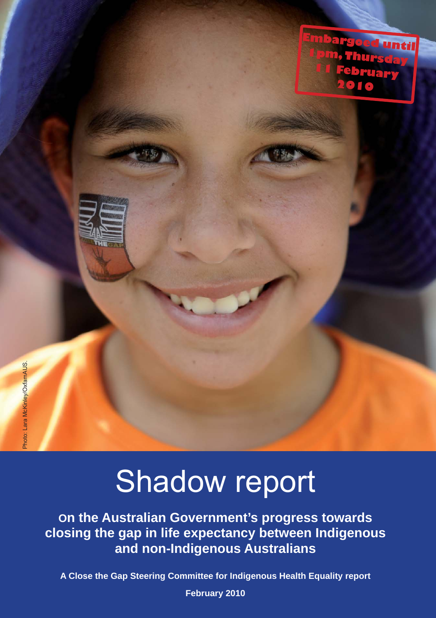

# Shadow report

**On the Australian Government's progress towards closing the gap in life expectancy between Indigenous and non-Indigenous Australians**

**A Close the Gap Steering Committee for Indigenous Health Equality report**

**February 2010**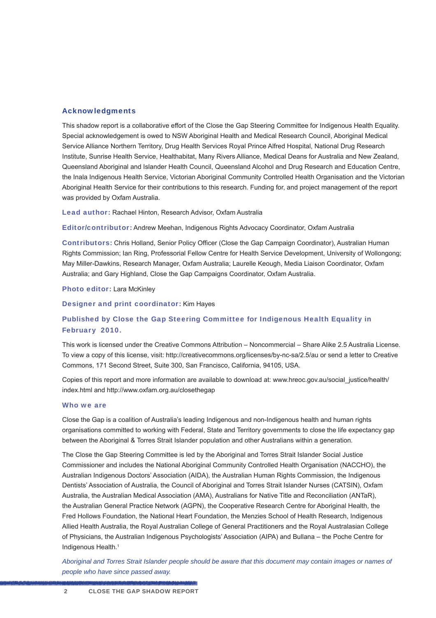#### Acknowledgments

This shadow report is a collaborative effort of the Close the Gap Steering Committee for Indigenous Health Equality. Special acknowledgement is owed to NSW Aboriginal Health and Medical Research Council, Aboriginal Medical Service Alliance Northern Territory, Drug Health Services Royal Prince Alfred Hospital, National Drug Research Institute, Sunrise Health Service, Healthabitat, Many Rivers Alliance, Medical Deans for Australia and New Zealand, Queensland Aboriginal and Islander Health Council, Queensland Alcohol and Drug Research and Education Centre, the Inala Indigenous Health Service, Victorian Aboriginal Community Controlled Health Organisation and the Victorian Aboriginal Health Service for their contributions to this research. Funding for, and project management of the report was provided by Oxfam Australia.

Lead author: Rachael Hinton, Research Advisor, Oxfam Australia

Editor/contributor: Andrew Meehan, Indigenous Rights Advocacy Coordinator, Oxfam Australia

Contributors: Chris Holland, Senior Policy Officer (Close the Gap Campaign Coordinator), Australian Human Rights Commission; Ian Ring, Professorial Fellow Centre for Health Service Development, University of Wollongong; May Miller-Dawkins, Research Manager, Oxfam Australia; Laurelle Keough, Media Liaison Coordinator, Oxfam Australia; and Gary Highland, Close the Gap Campaigns Coordinator, Oxfam Australia.

Photo editor: Lara McKinley

Designer and print coordinator: Kim Hayes

#### Published by Close the Gap Steering Committee for Indigenous Health Equality in February 2010.

This work is licensed under the Creative Commons Attribution – Noncommercial – Share Alike 2.5 Australia License. To view a copy of this license, visit: http://creativecommons.org/licenses/by-nc-sa/2.5/au or send a letter to Creative Commons, 171 Second Street, Suite 300, San Francisco, California, 94105, USA.

Copies of this report and more information are available to download at: www.hreoc.gov.au/social\_justice/health/ index.html and http://www.oxfam.org.au/closethegap

#### Who we are

Close the Gap is a coalition of Australia's leading Indigenous and non-Indigenous health and human rights organisations committed to working with Federal, State and Territory governments to close the life expectancy gap between the Aboriginal & Torres Strait Islander population and other Australians within a generation.

The Close the Gap Steering Committee is led by the Aboriginal and Torres Strait Islander Social Justice Commissioner and includes the National Aboriginal Community Controlled Health Organisation (NACCHO), the Australian Indigenous Doctors' Association (AIDA), the Australian Human Rights Commission, the Indigenous Dentists' Association of Australia, the Council of Aboriginal and Torres Strait Islander Nurses (CATSIN), Oxfam Australia, the Australian Medical Association (AMA), Australians for Native Title and Reconciliation (ANTaR), the Australian General Practice Network (AGPN), the Cooperative Research Centre for Aboriginal Health, the Fred Hollows Foundation, the National Heart Foundation, the Menzies School of Health Research, Indigenous Allied Health Australia, the Royal Australian College of General Practitioners and the Royal Australasian College of Physicians, the Australian Indigenous Psychologists' Association (AIPA) and Bullana – the Poche Centre for Indigenous Health.<sup>1</sup>

*Aboriginal and Torres Strait Islander people should be aware that this document may contain images or names of people who have since passed away.*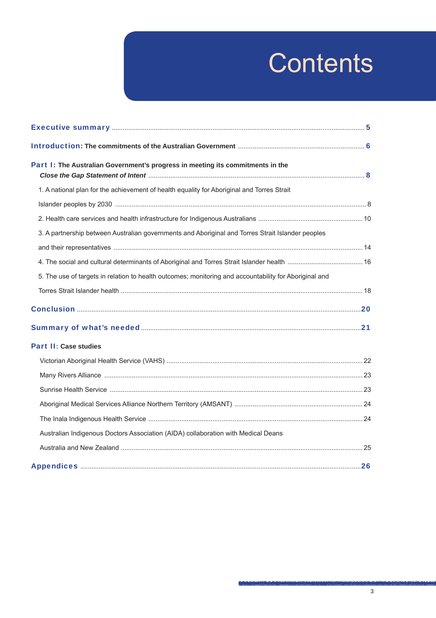# **Contents**

| Part I: The Australian Government's progress in meeting its commitments in the                         |  |
|--------------------------------------------------------------------------------------------------------|--|
| 1. A national plan for the achievement of health equality for Aboriginal and Torres Strait             |  |
|                                                                                                        |  |
|                                                                                                        |  |
| 3. A partnership between Australian governments and Aboriginal and Torres Strait Islander peoples      |  |
|                                                                                                        |  |
|                                                                                                        |  |
| 5. The use of targets in relation to health outcomes; monitoring and accountability for Aboriginal and |  |
|                                                                                                        |  |
|                                                                                                        |  |
|                                                                                                        |  |
| <b>Part II: Case studies</b>                                                                           |  |
|                                                                                                        |  |
|                                                                                                        |  |
|                                                                                                        |  |
|                                                                                                        |  |
|                                                                                                        |  |
| Australian Indigenous Doctors Association (AIDA) collaboration with Medical Deans                      |  |
|                                                                                                        |  |
|                                                                                                        |  |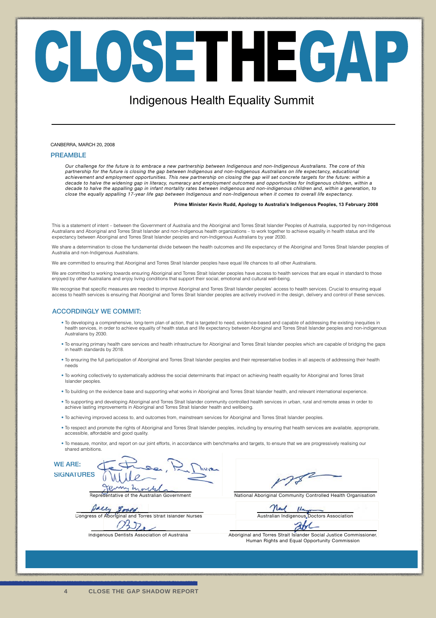# CLOSETHEGAP

### Indigenous Health Equality Summit

#### CANBERRA, MARCH 20, 2008

#### **PREAMBLE**

*Our challenge for the future is to embrace a new partnership between Indigenous and non-Indigenous Australians. The core of this partnership for the future is closing the gap between Indigenous and non-Indigenous Australians on life expectancy, educational achievement and employment opportunities. This new partnership on closing the gap will set concrete targets for the future: within a decade to halve the widening gap in literacy, numeracy and employment outcomes and opportunities for Indigenous children, within a* decade to halve the appalling gap in infant mortality rates between indigenous and non-indigenous children and, within a generation, to<br>close the equally appalling 17-year life gap between Indigenous and non-Indigenous whe

#### **Prime Minister Kevin Rudd, Apology to Australia's Indigenous Peoples, 13 February 2008**

This is a statement of intent – between the Government of Australia and the Aboriginal and Torres Strait Islander Peoples of Australia, supported by non-Indigenous Australians and Aboriginal and Torres Strait Islander and non-Indigenous health organizations – to work together to achieve equality in health status and life expectancy between Aboriginal and Torres Strait Islander peoples and non-Indigenous Australians by year 2030.

We share a determination to close the fundamental divide between the health outcomes and life expectancy of the Aboriginal and Torres Strait Islander peoples of Australia and non-Indigenous Australians.

We are committed to ensuring that Aboriginal and Torres Strait Islander peoples have equal life chances to all other Australians.

We are committed to working towards ensuring Aboriginal and Torres Strait Islander peoples have access to health services that are equal in standard to those enjoyed by other Australians and enjoy living conditions that support their social, emotional and cultural well-being.

We recognise that specific measures are needed to improve Aboriginal and Torres Strait Islander peoples' access to health services. Crucial to ensuring equal access to health services is ensuring that Aboriginal and Torres Strait Islander peoples are actively involved in the design, delivery and control of these services.

#### **ACCORDINGLY WE COMMIT:**

- To developing a comprehensive, long-term plan of action, that is targeted to need, evidence-based and capable of addressing the existing inequities in health services, in order to achieve equality of health status and life expectancy between Aboriginal and Torres Strait Islander peoples and non-indigenous Australians by 2030.
- To ensuring primary health care services and health infrastructure for Aboriginal and Torres Strait Islander peoples which are capable of bridging the gaps in health standards by 2018.
- To ensuring the full participation of Aboriginal and Torres Strait Islander peoples and their representative bodies in all aspects of addressing their health needs
- To working collectively to systematically address the social determinants that impact on achieving health equality for Aboriginal and Torres Strait Islander peoples.
- To building on the evidence base and supporting what works in Aboriginal and Torres Strait Islander health, and relevant international experience.
- To supporting and developing Aboriginal and Torres Strait Islander community controlled health services in urban, rural and remote areas in order to achieve lasting improvements in Aboriginal and Torres Strait Islander health and wellbeing.
- To achieving improved access to, and outcomes from, mainstream services for Aboriginal and Torres Strait Islander peoples.
- To respect and promote the rights of Aboriginal and Torres Strait Islander peoples, including by ensuring that health services are available, appropriate, accessible, affordable and good quality.
- To measure, monitor, and report on our joint efforts, in accordance with benchmarks and targets, to ensure that we are progressively realising our shared ambitions.

**WE ARE:** WE ARE:<br>SIGNATURES

Dally graed Congress of Aboriginal and Torres Strait Islander Nurses<br>
Indigenous Dentists Association of Australia<br>
Aboriginal

Representative of the Australian Government **National Aboriginal Community Controlled Health Organisation** 

Need Ш. Australian Indigenous Doctors Association

Indigenous Dentists Association of Australia **Aboriginal and Torres Strait Islander Social Justice Commissioner.** Human Rights and Equal Opportunity Commission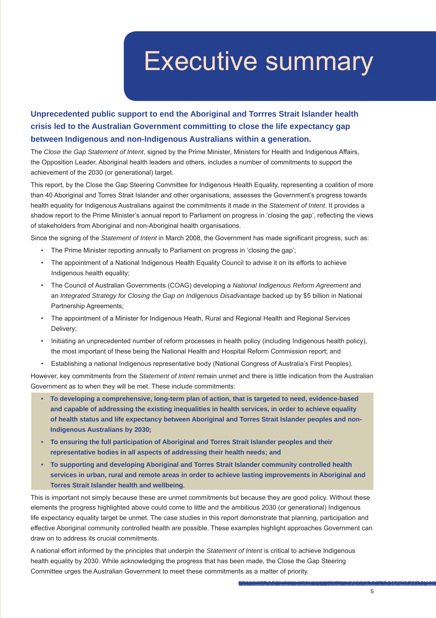# Executive summary

#### **Unprecedented public support to end the Aboriginal and Torrres Strait Islander health crisis led to the Australian Government committing to close the life expectancy gap between Indigenous and non-Indigenous Australians within a generation.**

The *Close the Gap Statement of Intent*, signed by the Prime Minister, Ministers for Health and Indigenous Affairs, the Opposition Leader, Aboriginal health leaders and others, includes a number of commitments to support the achievement of the 2030 (or generational) target.

This report, by the Close the Gap Steering Committee for Indigenous Health Equality, representing a coalition of more than 40 Aboriginal and Torres Strait Islander and other organisations, assesses the Government's progress towards health equality for Indigenous Australians against the commitments it made in the *Statement of Intent*. It provides a shadow report to the Prime Minister's annual report to Parliament on progress in 'closing the gap', reflecting the views of stakeholders from Aboriginal and non-Aboriginal health organisations.

Since the signing of the *Statement of Intent* in March 2008, the Government has made significant progress, such as:

- The Prime Minister reporting annually to Parliament on progress in 'closing the gap';
- The appointment of a National Indigenous Health Equality Council to advise it on its efforts to achieve Indigenous health equality;
- The Council of Australian Governments (COAG) developing a *National Indigenous Reform Agreement* and an *Integrated Strategy for Closing the Gap on Indigenous Disadvantage* backed up by \$5 billion in National Partnership Agreements;
- The appointment of a Minister for Indigenous Heath, Rural and Regional Health and Regional Services Delivery;
- Initiating an unprecedented number of reform processes in health policy (including Indigenous health policy), the most important of these being the National Health and Hospital Reform Commission report; and
- Establishing a national Indigenous representative body (National Congress of Australia's First Peoples).

However, key commitments from the *Statement of Intent* remain unmet and there is little indication from the Australian Government as to when they will be met. These include commitments:

- **To developing a comprehensive, long-term plan of action, that is targeted to need, evidence-based and capable of addressing the existing inequalities in health services, in order to achieve equality of health status and life expectancy between Aboriginal and Torres Strait Islander peoples and non-Indigenous Australians by 2030;**
- **To ensuring the full participation of Aboriginal and Torres Strait Islander peoples and their representative bodies in all aspects of addressing their health needs; and**
- **To supporting and developing Aboriginal and Torres Strait Islander community controlled health services in urban, rural and remote areas in order to achieve lasting improvements in Aboriginal and Torres Strait Islander health and wellbeing.**

This is important not simply because these are unmet commitments but because they are good policy. Without these elements the progress highlighted above could come to little and the ambitious 2030 (or generational) Indigenous life expectancy equality target be unmet. The case studies in this report demonstrate that planning, participation and effective Aboriginal community controlled health are possible. These examples highlight approaches Government can draw on to address its crucial commitments.

A national effort informed by the principles that underpin the *Statement of Intent* is critical to achieve Indigenous health equality by 2030. While acknowledging the progress that has been made, the Close the Gap Steering Committee urges the Australian Government to meet these commitments as a matter of priority.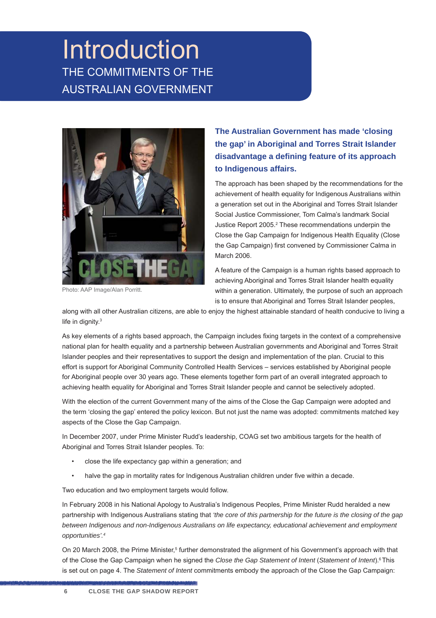## Introduction THE COMMITMENTS OF THE AUSTRALIAN GOVERNMENT



Photo: AAP Image/Alan Porritt.

#### **The Australian Government has made 'closing the gap' in Aboriginal and Torres Strait Islander disadvantage a defi ning feature of its approach to Indigenous affairs.**

The approach has been shaped by the recommendations for the achievement of health equality for Indigenous Australians within a generation set out in the Aboriginal and Torres Strait Islander Social Justice Commissioner, Tom Calma's landmark Social Justice Report 2005.<sup>2</sup> These recommendations underpin the Close the Gap Campaign for Indigenous Health Equality (Close the Gap Campaign) first convened by Commissioner Calma in March 2006.

A feature of the Campaign is a human rights based approach to achieving Aboriginal and Torres Strait Islander health equality within a generation. Ultimately, the purpose of such an approach is to ensure that Aboriginal and Torres Strait Islander peoples,

along with all other Australian citizens, are able to enjoy the highest attainable standard of health conducive to living a life in dignity.3

As key elements of a rights based approach, the Campaign includes fixing targets in the context of a comprehensive national plan for health equality and a partnership between Australian governments and Aboriginal and Torres Strait Islander peoples and their representatives to support the design and implementation of the plan. Crucial to this effort is support for Aboriginal Community Controlled Health Services – services established by Aboriginal people for Aboriginal people over 30 years ago. These elements together form part of an overall integrated approach to achieving health equality for Aboriginal and Torres Strait Islander people and cannot be selectively adopted.

With the election of the current Government many of the aims of the Close the Gap Campaign were adopted and the term 'closing the gap' entered the policy lexicon. But not just the name was adopted: commitments matched key aspects of the Close the Gap Campaign.

In December 2007, under Prime Minister Rudd's leadership, COAG set two ambitious targets for the health of Aboriginal and Torres Strait Islander peoples. To:

- close the life expectancy gap within a generation; and
- halve the gap in mortality rates for Indigenous Australian children under five within a decade.

Two education and two employment targets would follow.

In February 2008 in his National Apology to Australia's Indigenous Peoples, Prime Minister Rudd heralded a new partnership with Indigenous Australians stating that *'the core of this partnership for the future is the closing of the gap*  between Indigenous and non-Indigenous Australians on life expectancy, educational achievement and employment *opportunities'.4*

On 20 March 2008, the Prime Minister,<sup>5</sup> further demonstrated the alignment of his Government's approach with that of the Close the Gap Campaign when he signed the *Close the Gap Statement of Intent* (*Statement of Intent*).6 This is set out on page 4. The *Statement of Intent* commitments embody the approach of the Close the Gap Campaign: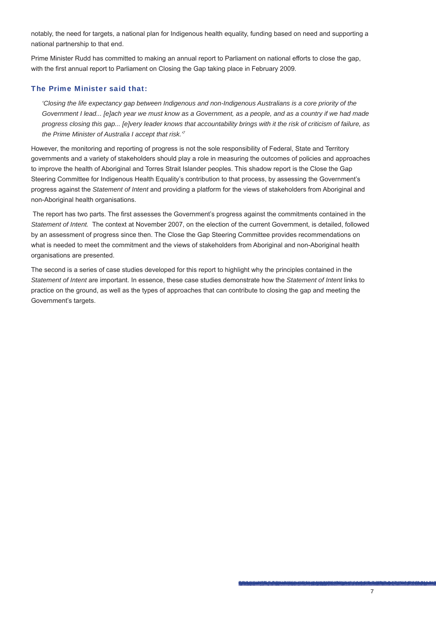notably, the need for targets, a national plan for Indigenous health equality, funding based on need and supporting a national partnership to that end.

Prime Minister Rudd has committed to making an annual report to Parliament on national efforts to close the gap, with the first annual report to Parliament on Closing the Gap taking place in February 2009.

#### The Prime Minister said that:

*'Closing the life expectancy gap between Indigenous and non-Indigenous Australians is a core priority of the Government I lead... [e]ach year we must know as a Government, as a people, and as a country if we had made progress closing this gap... [e]very leader knows that accountability brings with it the risk of criticism of failure, as the Prime Minister of Australia I accept that risk.'7*

However, the monitoring and reporting of progress is not the sole responsibility of Federal, State and Territory governments and a variety of stakeholders should play a role in measuring the outcomes of policies and approaches to improve the health of Aboriginal and Torres Strait Islander peoples. This shadow report is the Close the Gap Steering Committee for Indigenous Health Equality's contribution to that process, by assessing the Government's progress against the *Statement of Intent* and providing a platform for the views of stakeholders from Aboriginal and non-Aboriginal health organisations.

The report has two parts. The first assesses the Government's progress against the commitments contained in the *Statement of Intent.* The context at November 2007, on the election of the current Government, is detailed, followed by an assessment of progress since then. The Close the Gap Steering Committee provides recommendations on what is needed to meet the commitment and the views of stakeholders from Aboriginal and non-Aboriginal health organisations are presented.

The second is a series of case studies developed for this report to highlight why the principles contained in the *Statement of Intent* are important. In essence, these case studies demonstrate how the *Statement of Intent* links to practice on the ground, as well as the types of approaches that can contribute to closing the gap and meeting the Government's targets.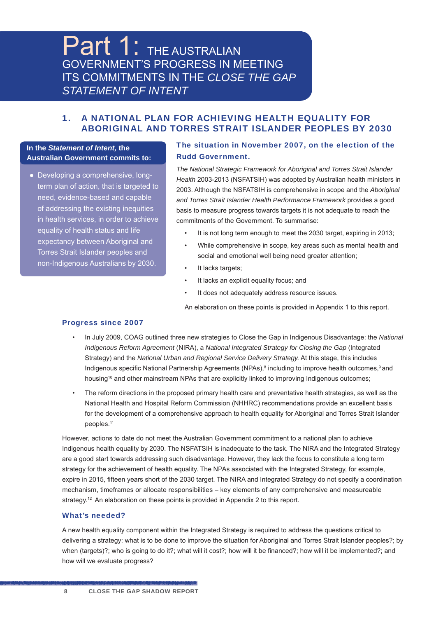## Part 1: THE AUSTRALIAN GOVERNMENT'S PROGRESS IN MEETING ITS COMMITMENTS IN THE *CLOSE THE GAP STATEMENT OF INTENT*

#### 1. A NATIONAL PLAN FOR ACHIEVING HEALTH EQUALITY FOR ABORIGINAL AND TORRES STRAIT ISLANDER PEOPLES BY 2030

#### **In the** *Statement of Intent,* **the Australian Government commits to:**

● Developing a comprehensive, longterm plan of action, that is targeted to need, evidence-based and capable of addressing the existing inequities in health services, in order to achieve equality of health status and life expectancy between Aboriginal and Torres Strait Islander peoples and non-Indigenous Australians by 2030.

#### The situation in November 2007, on the election of the Rudd Government.

*The National Strategic Framework for Aboriginal and Torres Strait Islander Health* 2003-2013 (NSFATSIH) was adopted by Australian health ministers in 2003. Although the NSFATSIH is comprehensive in scope and the *Aboriginal and Torres Strait Islander Health Performance Framework* provides a good basis to measure progress towards targets it is not adequate to reach the commitments of the Government. To summarise:

- It is not long term enough to meet the 2030 target, expiring in 2013;
- While comprehensive in scope, key areas such as mental health and social and emotional well being need greater attention;
- It lacks targets:
- It lacks an explicit equality focus; and
- It does not adequately address resource issues.

An elaboration on these points is provided in Appendix 1 to this report.

#### Progress since 2007

- In July 2009, COAG outlined three new strategies to Close the Gap in Indigenous Disadvantage: the *National Indigenous Reform Agreement* (NIRA), a *National Integrated Strategy for Closing the Gap* (Integrated Strategy) and the *National Urban and Regional Service Delivery Strategy.* At this stage, this includes Indigenous specific National Partnership Agreements (NPAs),<sup>8</sup> including to improve health outcomes,<sup>9</sup> and housing<sup>10</sup> and other mainstream NPAs that are explicitly linked to improving Indigenous outcomes;
- The reform directions in the proposed primary health care and preventative health strategies, as well as the National Health and Hospital Reform Commission (NHHRC) recommendations provide an excellent basis for the development of a comprehensive approach to health equality for Aboriginal and Torres Strait Islander peoples.<sup>11</sup>

However, actions to date do not meet the Australian Government commitment to a national plan to achieve Indigenous health equality by 2030. The NSFATSIH is inadequate to the task. The NIRA and the Integrated Strategy are a good start towards addressing such disadvantage. However, they lack the focus to constitute a long term strategy for the achievement of health equality. The NPAs associated with the Integrated Strategy, for example, expire in 2015, fifteen years short of the 2030 target. The NIRA and Integrated Strategy do not specify a coordination mechanism, timeframes or allocate responsibilities – key elements of any comprehensive and measureable strategy.<sup>12</sup> An elaboration on these points is provided in Appendix 2 to this report.

#### What's needed?

en andere de la proprieta de la proprieta de la proprieta de la proprieta de la proprieta de la proprieta de la

A new health equality component within the Integrated Strategy is required to address the questions critical to delivering a strategy: what is to be done to improve the situation for Aboriginal and Torres Strait Islander peoples?; by when (targets)?; who is going to do it?; what will it cost?; how will it be financed?; how will it be implemented?; and how will we evaluate progress?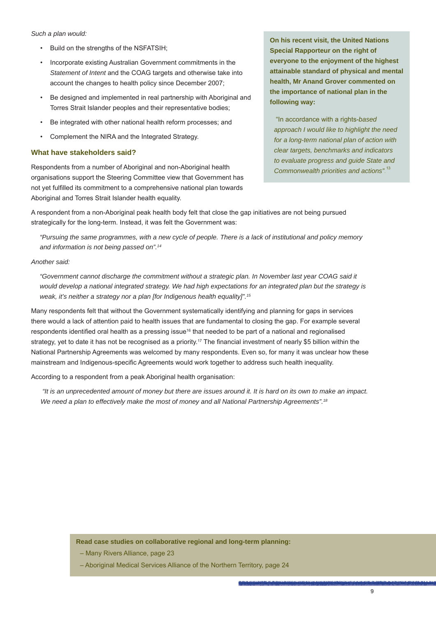#### *Such a plan would:*

- Build on the strengths of the NSFATSIH;
- Incorporate existing Australian Government commitments in the *Statement of Intent* and the COAG targets and otherwise take into account the changes to health policy since December 2007;
- Be designed and implemented in real partnership with Aboriginal and Torres Strait Islander peoples and their representative bodies;
- Be integrated with other national health reform processes; and
- Complement the NIRA and the Integrated Strategy.

#### **What have stakeholders said?**

Respondents from a number of Aboriginal and non-Aboriginal health organisations support the Steering Committee view that Government has not yet fulfilled its commitment to a comprehensive national plan towards Aboriginal and Torres Strait Islander health equality.

**On his recent visit, the United Nations Special Rapporteur on the right of everyone to the enjoyment of the highest attainable standard of physical and mental health, Mr Anand Grover commented on the importance of national plan in the following way:** 

 "In accordance with a rights-*based approach I would like to highlight the need for a long-term national plan of action with clear targets, benchmarks and indicators to evaluate progress and guide State and Commonwealth priorities and actions".* 13

A respondent from a non-Aboriginal peak health body felt that close the gap initiatives are not being pursued strategically for the long-term. Instead, it was felt the Government was:

*"Pursuing the same programmes, with a new cycle of people. There is a lack of institutional and policy memory and information is not being passed on".14*

#### *Another said:*

*"Government cannot discharge the commitment without a strategic plan. In November last year COAG said it would develop a national integrated strategy. We had high expectations for an integrated plan but the strategy is weak, it's neither a strategy nor a plan [for Indigenous health equality]".15*

Many respondents felt that without the Government systematically identifying and planning for gaps in services there would a lack of attention paid to health issues that are fundamental to closing the gap. For example several respondents identified oral health as a pressing issue<sup>16</sup> that needed to be part of a national and regionalised strategy, yet to date it has not be recognised as a priority.<sup>17</sup> The financial investment of nearly \$5 billion within the National Partnership Agreements was welcomed by many respondents. Even so, for many it was unclear how these mainstream and Indigenous-specific Agreements would work together to address such health inequality.

According to a respondent from a peak Aboriginal health organisation:

 *"It is an unprecedented amount of money but there are issues around it. It is hard on its own to make an impact. We need a plan to effectively make the most of money and all National Partnership Agreements".18*

**Read case studies on collaborative regional and long-term planning:**

- Many Rivers Alliance, page 23
- Aboriginal Medical Services Alliance of the Northern Territory, page 24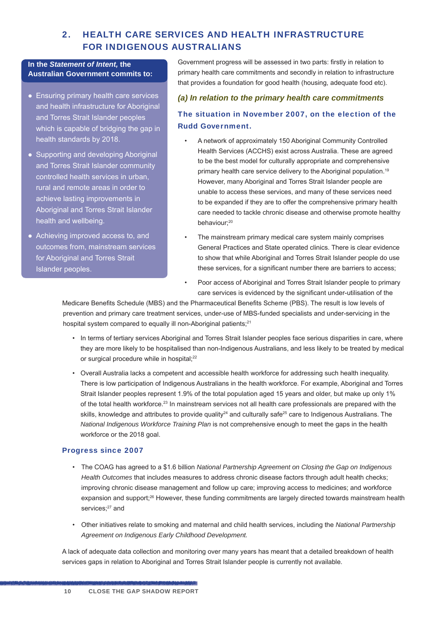#### 2. HEALTH CARE SERVICES AND HEALTH INFRASTRUCTURE FOR INDIGENOUS AUSTRALIANS

#### **In the** *Statement of Intent,* **the Australian Government commits to:**

- Ensuring primary health care services and health infrastructure for Aboriginal and Torres Strait Islander peoples which is capable of bridging the gap in health standards by 2018.
- Supporting and developing Aboriginal and Torres Strait Islander community controlled health services in urban, rural and remote areas in order to achieve lasting improvements in Aboriginal and Torres Strait Islander health and wellbeing.
- Achieving improved access to, and outcomes from, mainstream services for Aboriginal and Torres Strait Islander peoples.

Government progress will be assessed in two parts: firstly in relation to primary health care commitments and secondly in relation to infrastructure that provides a foundation for good health (housing, adequate food etc).

#### *(a) In relation to the primary health care commitments*

#### The situation in November 2007, on the election of the Rudd Government.

- A network of approximately 150 Aboriginal Community Controlled Health Services (ACCHS) exist across Australia. These are agreed to be the best model for culturally appropriate and comprehensive primary health care service delivery to the Aboriginal population.<sup>19</sup> However, many Aboriginal and Torres Strait Islander people are unable to access these services, and many of these services need to be expanded if they are to offer the comprehensive primary health care needed to tackle chronic disease and otherwise promote healthy behaviour;<sup>20</sup>
- The mainstream primary medical care system mainly comprises General Practices and State operated clinics. There is clear evidence to show that while Aboriginal and Torres Strait Islander people do use these services, for a significant number there are barriers to access:
- Poor access of Aboriginal and Torres Strait Islander people to primary care services is evidenced by the significant under-utilisation of the

Medicare Benefits Schedule (MBS) and the Pharmaceutical Benefits Scheme (PBS). The result is low levels of prevention and primary care treatment services, under-use of MBS-funded specialists and under-servicing in the hospital system compared to equally ill non-Aboriginal patients;<sup>21</sup>

- In terms of tertiary services Aboriginal and Torres Strait Islander peoples face serious disparities in care, where they are more likely to be hospitalised than non-Indigenous Australians, and less likely to be treated by medical or surgical procedure while in hospital;<sup>22</sup>
- Overall Australia lacks a competent and accessible health workforce for addressing such health inequality. There is low participation of Indigenous Australians in the health workforce. For example, Aboriginal and Torres Strait Islander peoples represent 1.9% of the total population aged 15 years and older, but make up only 1% of the total health workforce.23 In mainstream services not all health care professionals are prepared with the skills, knowledge and attributes to provide quality<sup>24</sup> and culturally safe<sup>25</sup> care to Indigenous Australians. The *National Indigenous Workforce Training Plan* is not comprehensive enough to meet the gaps in the health workforce or the 2018 goal.

#### Progress since 2007

en andere de la proprieta de la proprieta de la proprieta de la proprieta de la proprieta de la proprieta de la

- The COAG has agreed to a \$1.6 billion *National Partnership Agreement on Closing the Gap on Indigenous Health Outcomes* that includes measures to address chronic disease factors through adult health checks; improving chronic disease management and follow up care; improving access to medicines; and workforce expansion and support;<sup>26</sup> However, these funding commitments are largely directed towards mainstream health services;<sup>27</sup> and
- Other initiatives relate to smoking and maternal and child health services, including the *National Partnership Agreement on Indigenous Early Childhood Development.*

A lack of adequate data collection and monitoring over many years has meant that a detailed breakdown of health services gaps in relation to Aboriginal and Torres Strait Islander people is currently not available.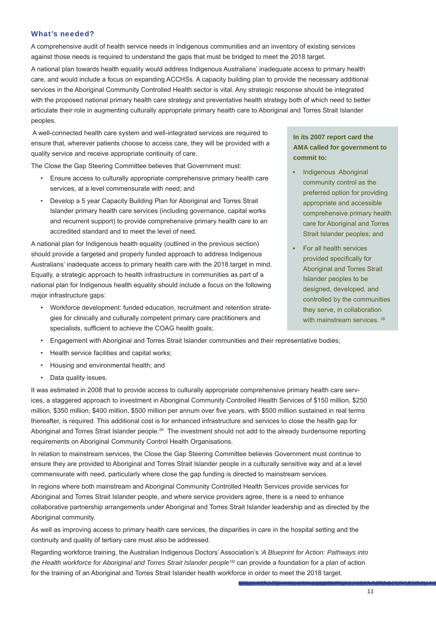#### What's needed?

A comprehensive audit of health service needs in Indigenous communities and an inventory of existing services against those needs is required to understand the gaps that must be bridged to meet the 2018 target.

A national plan towards health equality would address Indigenous Australians' inadequate access to primary health care, and would include a focus on expanding ACCHSs. A capacity building plan to provide the necessary additional services in the Aboriginal Community Controlled Health sector is vital. Any strategic response should be integrated with the proposed national primary health care strategy and preventative health strategy both of which need to better articulate their role in augmenting culturally appropriate primary health care to Aboriginal and Torres Strait Islander peoples.

 A well-connected health care system and well-integrated services are required to ensure that, wherever patients choose to access care, they will be provided with a quality service and receive appropriate continuity of care.

The Close the Gap Steering Committee believes that Government must:

- Ensure access to culturally appropriate comprehensive primary health care services, at a level commensurate with need; and
- Develop a 5 year Capacity Building Plan for Aboriginal and Torres Strait Islander primary health care services (including governance, capital works and recurrent support) to provide comprehensive primary health care to an accredited standard and to meet the level of need.

A national plan for Indigenous health equality (outlined in the previous section) should provide a targeted and properly funded approach to address Indigenous Australians' inadequate access to primary health care with the 2018 target in mind. Equally, a strategic approach to health infrastructure in communities as part of a national plan for Indigenous health equality should include a focus on the following major infrastructure gaps:

• Workforce development: funded education, recruitment and retention strategies for clinically and culturally competent primary care practitioners and specialists, sufficient to achieve the COAG health goals;

#### **In its 2007 report card the AMA called for government to commit to:**

- Indigenous Aboriginal community control as the preferred option for providing appropriate and accessible comprehensive primary health care for Aboriginal and Torres Strait Islander peoples; and
- For all health services provided specifically for Aboriginal and Torres Strait Islander peoples to be designed, developed, and controlled by the communities they serve, in collaboration with mainstream services. 28
- Engagement with Aboriginal and Torres Strait Islander communities and their representative bodies;
- Health service facilities and capital works;
- Housing and environmental health; and
- Data quality issues.

It was estimated in 2008 that to provide access to culturally appropriate comprehensive primary health care services, a staggered approach to investment in Aboriginal Community Controlled Health Services of \$150 million, \$250 million, \$350 million, \$400 million, \$500 million per annum over five years, with \$500 million sustained in real terms thereafter, is required. This additional cost is for enhanced infrastructure and services to close the health gap for Aboriginal and Torres Strait Islander people.29 The investment should not add to the already burdensome reporting requirements on Aboriginal Community Control Health Organisations.

In relation to mainstream services, the Close the Gap Steering Committee believes Government must continue to ensure they are provided to Aboriginal and Torres Strait Islander people in a culturally sensitive way and at a level commensurate with need, particularly where close the gap funding is directed to mainstream services.

In regions where both mainstream and Aboriginal Community Controlled Health Services provide services for Aboriginal and Torres Strait Islander people, and where service providers agree, there is a need to enhance collaborative partnership arrangements under Aboriginal and Torres Strait Islander leadership and as directed by the Aboriginal community.

As well as improving access to primary health care services, the disparities in care in the hospital setting and the continuity and quality of tertiary care must also be addressed.

Regarding workforce training, the Australian Indigenous Doctors' Association's *'A Blueprint for Action: Pathways into the Health workforce for Aboriginal and Torres Strait Islander people'30* can provide a foundation for a plan of action for the training of an Aboriginal and Torres Strait Islander health workforce in order to meet the 2018 target.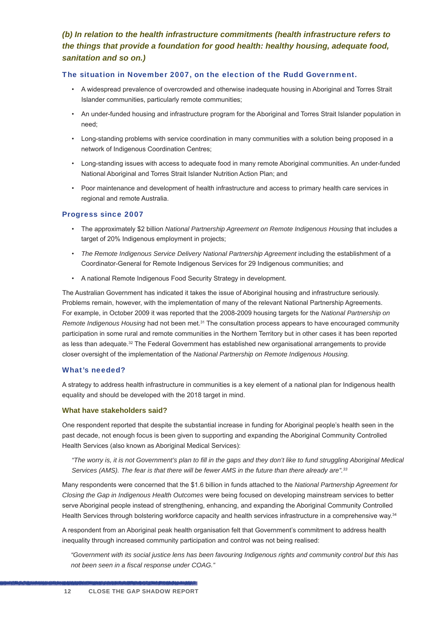#### *(b) In relation to the health infrastructure commitments (health infrastructure refers to the things that provide a foundation for good health: healthy housing, adequate food, sanitation and so on.)*

#### The situation in November 2007, on the election of the Rudd Government.

- A widespread prevalence of overcrowded and otherwise inadequate housing in Aboriginal and Torres Strait Islander communities, particularly remote communities;
- An under-funded housing and infrastructure program for the Aboriginal and Torres Strait Islander population in need;
- Long-standing problems with service coordination in many communities with a solution being proposed in a network of Indigenous Coordination Centres;
- Long-standing issues with access to adequate food in many remote Aboriginal communities. An under-funded National Aboriginal and Torres Strait Islander Nutrition Action Plan; and
- Poor maintenance and development of health infrastructure and access to primary health care services in regional and remote Australia.

#### Progress since 2007

- The approximately \$2 billion *National Partnership Agreement on Remote Indigenous Housing* that includes a target of 20% Indigenous employment in projects;
- *The Remote Indigenous Service Delivery National Partnership Agreement* including the establishment of a Coordinator-General for Remote Indigenous Services for 29 Indigenous communities; and
- A national Remote Indigenous Food Security Strategy in development.

The Australian Government has indicated it takes the issue of Aboriginal housing and infrastructure seriously. Problems remain, however, with the implementation of many of the relevant National Partnership Agreements. For example, in October 2009 it was reported that the 2008-2009 housing targets for the *National Partnership on Remote Indigenous Housing* had not been met.31 The consultation process appears to have encouraged community participation in some rural and remote communities in the Northern Territory but in other cases it has been reported as less than adequate.<sup>32</sup> The Federal Government has established new organisational arrangements to provide closer oversight of the implementation of the *National Partnership on Remote Indigenous Housing.*

#### What's needed?

A strategy to address health infrastructure in communities is a key element of a national plan for Indigenous health equality and should be developed with the 2018 target in mind.

#### **What have stakeholders said?**

One respondent reported that despite the substantial increase in funding for Aboriginal people's health seen in the past decade, not enough focus is been given to supporting and expanding the Aboriginal Community Controlled Health Services (also known as Aboriginal Medical Services):

*"The worry is, it is not Government's plan to fi ll in the gaps and they don't like to fund struggling Aboriginal Medical Services (AMS). The fear is that there will be fewer AMS in the future than there already are".33*

Many respondents were concerned that the \$1.6 billion in funds attached to the *National Partnership Agreement for Closing the Gap in Indigenous Health Outcomes* were being focused on developing mainstream services to better serve Aboriginal people instead of strengthening, enhancing, and expanding the Aboriginal Community Controlled Health Services through bolstering workforce capacity and health services infrastructure in a comprehensive way.<sup>34</sup>

A respondent from an Aboriginal peak health organisation felt that Government's commitment to address health inequality through increased community participation and control was not being realised:

*"Government with its social justice lens has been favouring Indigenous rights and community control but this has not been seen in a fiscal response under COAG."*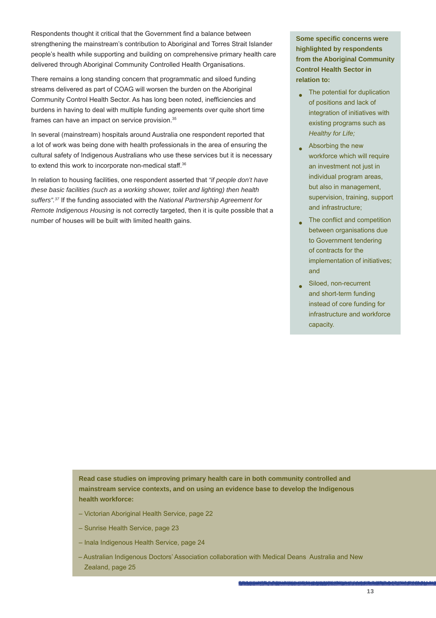Respondents thought it critical that the Government find a balance between strengthening the mainstream's contribution to Aboriginal and Torres Strait Islander people's health while supporting and building on comprehensive primary health care delivered through Aboriginal Community Controlled Health Organisations.

There remains a long standing concern that programmatic and siloed funding streams delivered as part of COAG will worsen the burden on the Aboriginal Community Control Health Sector. As has long been noted, inefficiencies and burdens in having to deal with multiple funding agreements over quite short time frames can have an impact on service provision.35

In several (mainstream) hospitals around Australia one respondent reported that a lot of work was being done with health professionals in the area of ensuring the cultural safety of Indigenous Australians who use these services but it is necessary to extend this work to incorporate non-medical staff.<sup>36</sup>

In relation to housing facilities, one respondent asserted that *"if people don't have these basic facilities (such as a working shower, toilet and lighting) then health suffers".37* If the funding associated with the *National Partnership Agreement for Remote Indigenous Housing* is not correctly targeted, then it is quite possible that a number of houses will be built with limited health gains.

**Some specifi c concerns were highlighted by respondents from the Aboriginal Community Control Health Sector in relation to:**

- $\Box$  The potential for duplication of positions and lack of integration of initiatives with existing programs such as *Healthy for Life;*
- $\bullet$  Absorbing the new workforce which will require an investment not just in individual program areas, but also in management, supervision, training, support and infrastructure;
- The conflict and competition between organisations due to Government tendering of contracts for the implementation of initiatives; and
- Siloed, non-recurrent and short-term funding instead of core funding for infrastructure and workforce capacity.

**Read case studies on improving primary health care in both community controlled and mainstream service contexts, and on using an evidence base to develop the Indigenous health workforce:**

- Victorian Aboriginal Health Service, page 22
- Sunrise Health Service, page 23
- Inala Indigenous Health Service, page 24
- Australian Indigenous Doctors' Association collaboration with Medical Deans Australia and New Zealand, page 25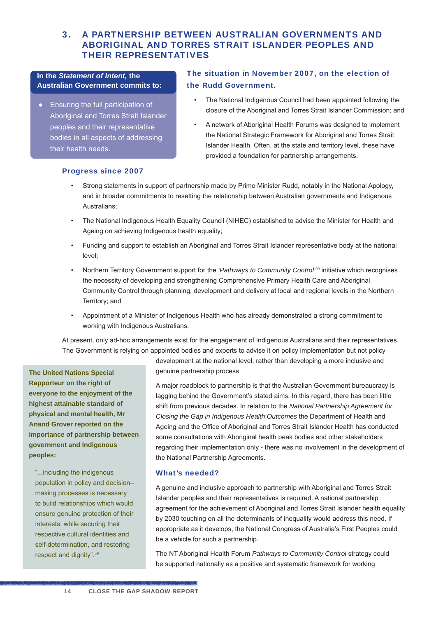#### 3. A PARTNERSHIP BETWEEN AUSTRALIAN GOVERNMENTS AND ABORIGINAL AND TORRES STRAIT ISLANDER PEOPLES AND THEIR REPRESENTATIVES

#### **In the** *Statement of Intent,* **the Australian Government commits to:**

● Ensuring the full participation of Aboriginal and Torres Strait Islander peoples and their representative bodies in all aspects of addressing their health needs.

#### The situation in November 2007, on the election of the Rudd Government.

- The National Indigenous Council had been appointed following the closure of the Aboriginal and Torres Strait Islander Commission; and
- A network of Aboriginal Health Forums was designed to implement the National Strategic Framework for Aboriginal and Torres Strait Islander Health. Often, at the state and territory level, these have provided a foundation for partnership arrangements.

#### Progress since 2007

- Strong statements in support of partnership made by Prime Minister Rudd, notably in the National Apology, and in broader commitments to resetting the relationship between Australian governments and Indigenous Australians;
- The National Indigenous Health Equality Council (NIHEC) established to advise the Minister for Health and Ageing on achieving Indigenous health equality;
- Funding and support to establish an Aboriginal and Torres Strait Islander representative body at the national level;
- Northern Territory Government support for the *'Pathways to Community Control'38* initiative which recognises the necessity of developing and strengthening Comprehensive Primary Health Care and Aboriginal Community Control through planning, development and delivery at local and regional levels in the Northern Territory; and
- Appointment of a Minister of Indigenous Health who has already demonstrated a strong commitment to working with Indigenous Australians.

At present, only ad-hoc arrangements exist for the engagement of Indigenous Australians and their representatives. The Government is relying on appointed bodies and experts to advise it on policy implementation but not policy

**The United Nations Special Rapporteur on the right of everyone to the enjoyment of the highest attainable standard of physical and mental health, Mr Anand Grover reported on the importance of partnership between government and Indigenous peoples:** 

"...including the indigenous population in policy and decision– making processes is necessary to build relationships which would ensure genuine protection of their interests, while securing their respective cultural identities and self-determination, and restoring respect and dignity".39

en andere de la proprieta de la proprieta de la proprieta de la proprieta de la proprieta de la proprieta de la

development at the national level, rather than developing a more inclusive and genuine partnership process.

A major roadblock to partnership is that the Australian Government bureaucracy is lagging behind the Government's stated aims. In this regard, there has been little shift from previous decades. In relation to the *National Partnership Agreement for Closing the Gap in Indigenous Health Outcomes* the Department of Health and Ageing and the Office of Aboriginal and Torres Strait Islander Health has conducted some consultations with Aboriginal health peak bodies and other stakeholders regarding their implementation only - there was no involvement in the development of the National Partnership Agreements.

#### What's needed?

A genuine and inclusive approach to partnership with Aboriginal and Torres Strait Islander peoples and their representatives is required. A national partnership agreement for the achievement of Aboriginal and Torres Strait Islander health equality by 2030 touching on all the determinants of inequality would address this need. If appropriate as it develops, the National Congress of Australia's First Peoples could be a vehicle for such a partnership.

The NT Aboriginal Health Forum *Pathways to Community Control* strategy could be supported nationally as a positive and systematic framework for working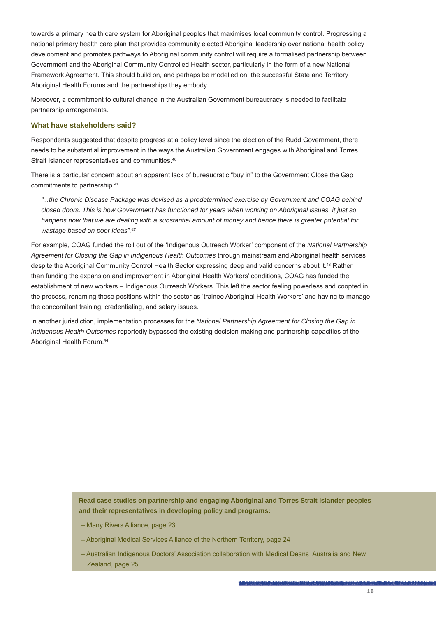towards a primary health care system for Aboriginal peoples that maximises local community control. Progressing a national primary health care plan that provides community elected Aboriginal leadership over national health policy development and promotes pathways to Aboriginal community control will require a formalised partnership between Government and the Aboriginal Community Controlled Health sector, particularly in the form of a new National Framework Agreement. This should build on, and perhaps be modelled on, the successful State and Territory Aboriginal Health Forums and the partnerships they embody.

Moreover, a commitment to cultural change in the Australian Government bureaucracy is needed to facilitate partnership arrangements.

#### **What have stakeholders said?**

Respondents suggested that despite progress at a policy level since the election of the Rudd Government, there needs to be substantial improvement in the ways the Australian Government engages with Aboriginal and Torres Strait Islander representatives and communities.<sup>40</sup>

There is a particular concern about an apparent lack of bureaucratic "buy in" to the Government Close the Gap commitments to partnership.41

*"...the Chronic Disease Package was devised as a predetermined exercise by Government and COAG behind closed doors. This is how Government has functioned for years when working on Aboriginal issues, it just so happens now that we are dealing with a substantial amount of money and hence there is greater potential for wastage based on poor ideas".42*

For example, COAG funded the roll out of the 'Indigenous Outreach Worker' component of the *National Partnership Agreement for Closing the Gap in Indigenous Health Outcomes* through mainstream and Aboriginal health services despite the Aboriginal Community Control Health Sector expressing deep and valid concerns about it.43 Rather than funding the expansion and improvement in Aboriginal Health Workers' conditions, COAG has funded the establishment of new workers – Indigenous Outreach Workers. This left the sector feeling powerless and coopted in the process, renaming those positions within the sector as 'trainee Aboriginal Health Workers' and having to manage the concomitant training, credentialing, and salary issues.

In another jurisdiction, implementation processes for the *National Partnership Agreement for Closing the Gap in Indigenous Health Outcomes* reportedly bypassed the existing decision-making and partnership capacities of the Aboriginal Health Forum.44

> **Read case studies on partnership and engaging Aboriginal and Torres Strait Islander peoples and their representatives in developing policy and programs:**

- Many Rivers Alliance, page 23
- Aboriginal Medical Services Alliance of the Northern Territory, page 24
- Australian Indigenous Doctors' Association collaboration with Medical Deans Australia and New Zealand, page 25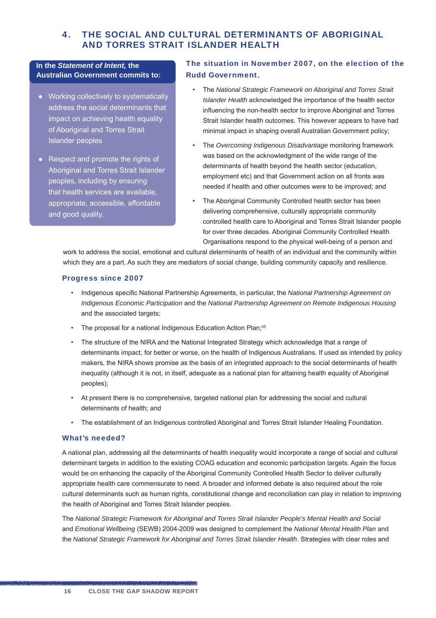#### 4. THE SOCIAL AND CULTURAL DETERMINANTS OF ABORIGINAL AND TORRES STRAIT ISLANDER HEALTH

#### **In the** *Statement of Intent,* **the Australian Government commits to:**

- Working collectively to systematically address the social determinants that impact on achieving health equality of Aboriginal and Torres Strait Islander peoples
- Respect and promote the rights of Aboriginal and Torres Strait Islander peoples, including by ensuring that health services are available, appropriate, accessible, affordable and good quality.

#### The situation in November 2007, on the election of the Rudd Government.

- The *National Strategic Framework on Aboriginal and Torres Strait Islander Health* acknowledged the importance of the health sector influencing the non-health sector to improve Aboriginal and Torres Strait Islander health outcomes. This however appears to have had minimal impact in shaping overall Australian Government policy;
- The *Overcoming Indigenous Disadvantage* monitoring framework was based on the acknowledgment of the wide range of the determinants of health beyond the health sector (education, employment etc) and that Government action on all fronts was needed if health and other outcomes were to be improved; and
- The Aboriginal Community Controlled health sector has been delivering comprehensive, culturally appropriate community controlled health care to Aboriginal and Torres Strait Islander people for over three decades. Aboriginal Community Controlled Health Organisations respond to the physical well-being of a person and

work to address the social, emotional and cultural determinants of health of an individual and the community within which they are a part. As such they are mediators of social change, building community capacity and resilience.

#### Progress since 2007

- Indigenous specific National Partnership Agreements, in particular, the *National Partnership Agreement on Indigenous Economic Participation* and the *National Partnership Agreement on Remote Indigenous Housing* and the associated targets;
- The proposal for a national Indigenous Education Action Plan;<sup>45</sup>
- The structure of the NIRA and the National Integrated Strategy which acknowledge that a range of determinants impact, for better or worse, on the health of Indigenous Australians. If used as intended by policy makers, the NIRA shows promise as the basis of an integrated approach to the social determinants of health inequality (although it is not, in itself, adequate as a national plan for attaining health equality of Aboriginal peoples);
- At present there is no comprehensive, targeted national plan for addressing the social and cultural determinants of health; and
- The establishment of an Indigenous controlled Aboriginal and Torres Strait Islander Healing Foundation.

#### What's needed?

en andere de la proprieta de la proprieta de la proprieta de la proprieta de la proprieta de la proprieta de la

A national plan, addressing all the determinants of health inequality would incorporate a range of social and cultural determinant targets in addition to the existing COAG education and economic participation targets. Again the focus would be on enhancing the capacity of the Aboriginal Community Controlled Health Sector to deliver culturally appropriate health care commensurate to need. A broader and informed debate is also required about the role cultural determinants such as human rights, constitutional change and reconciliation can play in relation to improving the health of Aboriginal and Torres Strait Islander peoples.

The *National Strategic Framework for Aboriginal and Torres Strait Islander People's Mental Health and Social*  and *Emotional Wellbeing* (SEWB) 2004-2009 was designed to complement the *National Mental Health Plan* and the *National Strategic Framework for Aboriginal and Torres Strait Islander Health.* Strategies with clear roles and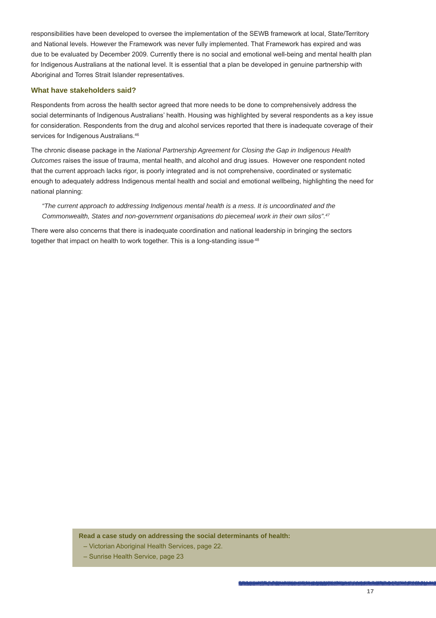responsibilities have been developed to oversee the implementation of the SEWB framework at local, State/Territory and National levels. However the Framework was never fully implemented. That Framework has expired and was due to be evaluated by December 2009. Currently there is no social and emotional well-being and mental health plan for Indigenous Australians at the national level. It is essential that a plan be developed in genuine partnership with Aboriginal and Torres Strait Islander representatives.

#### **What have stakeholders said?**

Respondents from across the health sector agreed that more needs to be done to comprehensively address the social determinants of Indigenous Australians' health. Housing was highlighted by several respondents as a key issue for consideration. Respondents from the drug and alcohol services reported that there is inadequate coverage of their services for Indigenous Australians.<sup>46</sup>

The chronic disease package in the *National Partnership Agreement for Closing the Gap in Indigenous Health Outcomes* raises the issue of trauma, mental health, and alcohol and drug issues. However one respondent noted that the current approach lacks rigor, is poorly integrated and is not comprehensive, coordinated or systematic enough to adequately address Indigenous mental health and social and emotional wellbeing, highlighting the need for national planning:

#### *"The current approach to addressing Indigenous mental health is a mess. It is uncoordinated and the Commonwealth, States and non-government organisations do piecemeal work in their own silos".47*

There were also concerns that there is inadequate coordination and national leadership in bringing the sectors together that impact on health to work together. This is a long-standing issue.<sup>48</sup>

**Read a case study on addressing the social determinants of health:**

- Victorian Aboriginal Health Services, page 22.
- Sunrise Health Service, page 23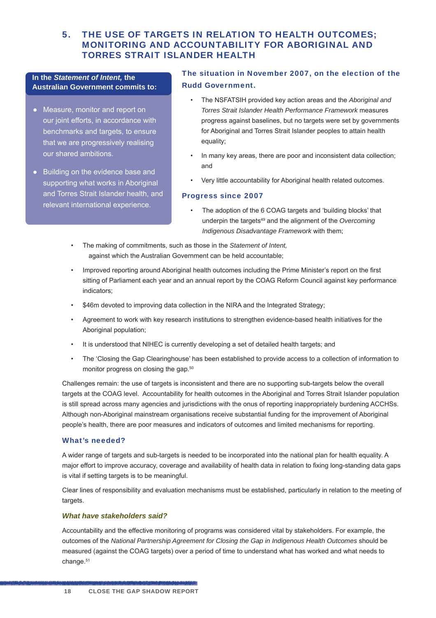#### 5. THE USE OF TARGETS IN RELATION TO HEALTH OUTCOMES; MONITORING AND ACCOUNTABILITY FOR ABORIGINAL AND TORRES STRAIT ISLANDER HEALTH

#### **In the** *Statement of Intent,* **the Australian Government commits to:**

- Measure, monitor and report on our joint efforts, in accordance with benchmarks and targets, to ensure that we are progressively realising our shared ambitions.
- Building on the evidence base and supporting what works in Aboriginal and Torres Strait Islander health, and relevant international experience.

#### The situation in November 2007, on the election of the Rudd Government.

- The NSFATSIH provided key action areas and the *Aboriginal and Torres Strait Islander Health Performance Framework* measures progress against baselines, but no targets were set by governments for Aboriginal and Torres Strait Islander peoples to attain health equality;
- In many key areas, there are poor and inconsistent data collection; and
- Very little accountability for Aboriginal health related outcomes.

#### Progress since 2007

- The adoption of the 6 COAG targets and 'building blocks' that underpin the targets<sup>49</sup> and the alignment of the Overcoming *Indigenous Disadvantage Framework* with them;
- The making of commitments, such as those in the *Statement of Intent,*  against which the Australian Government can be held accountable;
- Improved reporting around Aboriginal health outcomes including the Prime Minister's report on the first sitting of Parliament each year and an annual report by the COAG Reform Council against key performance indicators;
- \$46m devoted to improving data collection in the NIRA and the Integrated Strategy;
- Agreement to work with key research institutions to strengthen evidence-based health initiatives for the Aboriginal population;
- It is understood that NIHEC is currently developing a set of detailed health targets; and
- The 'Closing the Gap Clearinghouse' has been established to provide access to a collection of information to monitor progress on closing the gap.<sup>50</sup>

Challenges remain: the use of targets is inconsistent and there are no supporting sub-targets below the overall targets at the COAG level. Accountability for health outcomes in the Aboriginal and Torres Strait Islander population is still spread across many agencies and jurisdictions with the onus of reporting inappropriately burdening ACCHSs. Although non-Aboriginal mainstream organisations receive substantial funding for the improvement of Aboriginal people's health, there are poor measures and indicators of outcomes and limited mechanisms for reporting.

#### What's needed?

A wider range of targets and sub-targets is needed to be incorporated into the national plan for health equality. A major effort to improve accuracy, coverage and availability of health data in relation to fixing long-standing data gaps is vital if setting targets is to be meaningful.

Clear lines of responsibility and evaluation mechanisms must be established, particularly in relation to the meeting of targets.

#### *What have stakeholders said?*

en andere de la proprieta de la proprieta de la proprieta de la proprieta de la proprieta de la proprieta de la

Accountability and the effective monitoring of programs was considered vital by stakeholders. For example, the outcomes of the *National Partnership Agreement for Closing the Gap in Indigenous Health Outcomes* should be measured (against the COAG targets) over a period of time to understand what has worked and what needs to change.<sup>51</sup>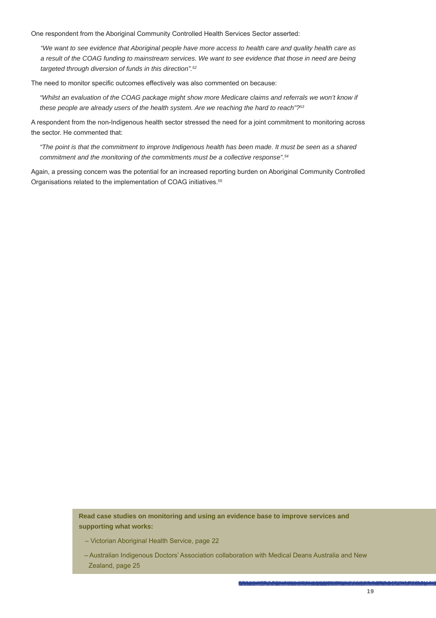One respondent from the Aboriginal Community Controlled Health Services Sector asserted:

*"We want to see evidence that Aboriginal people have more access to health care and quality health care as a result of the COAG funding to mainstream services. We want to see evidence that those in need are being targeted through diversion of funds in this direction".52*

The need to monitor specific outcomes effectively was also commented on because:

"Whilst an evaluation of the COAG package might show more Medicare claims and referrals we won't know if *these people are already users of the health system. Are we reaching the hard to reach"?53*

A respondent from the non-Indigenous health sector stressed the need for a joint commitment to monitoring across the sector. He commented that:

*"The point is that the commitment to improve Indigenous health has been made. It must be seen as a shared commitment and the monitoring of the commitments must be a collective response".54* 

Again, a pressing concern was the potential for an increased reporting burden on Aboriginal Community Controlled Organisations related to the implementation of COAG initiatives.55

> **Read case studies on monitoring and using an evidence base to improve services and supporting what works:**

- Victorian Aboriginal Health Service, page 22
- Australian Indigenous Doctors' Association collaboration with Medical Deans Australia and New Zealand, page 25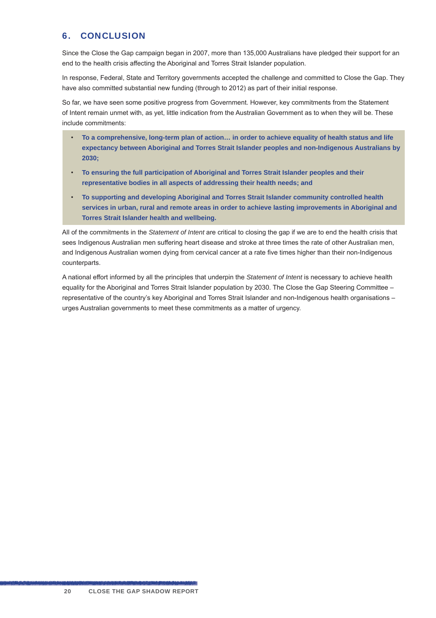#### 6. CONCLUSION

Since the Close the Gap campaign began in 2007, more than 135,000 Australians have pledged their support for an end to the health crisis affecting the Aboriginal and Torres Strait Islander population.

In response, Federal, State and Territory governments accepted the challenge and committed to Close the Gap. They have also committed substantial new funding (through to 2012) as part of their initial response.

So far, we have seen some positive progress from Government. However, key commitments from the Statement of Intent remain unmet with, as yet, little indication from the Australian Government as to when they will be. These include commitments:

- **To a comprehensive, long-term plan of action… in order to achieve equality of health status and life expectancy between Aboriginal and Torres Strait Islander peoples and non-Indigenous Australians by 2030;**
- **To ensuring the full participation of Aboriginal and Torres Strait Islander peoples and their representative bodies in all aspects of addressing their health needs; and**
- **To supporting and developing Aboriginal and Torres Strait Islander community controlled health services in urban, rural and remote areas in order to achieve lasting improvements in Aboriginal and Torres Strait Islander health and wellbeing.**

All of the commitments in the *Statement of Intent* are critical to closing the gap if we are to end the health crisis that sees Indigenous Australian men suffering heart disease and stroke at three times the rate of other Australian men, and Indigenous Australian women dying from cervical cancer at a rate five times higher than their non-Indigenous counterparts.

A national effort informed by all the principles that underpin the *Statement of Intent* is necessary to achieve health equality for the Aboriginal and Torres Strait Islander population by 2030. The Close the Gap Steering Committee – representative of the country's key Aboriginal and Torres Strait Islander and non-Indigenous health organisations – urges Australian governments to meet these commitments as a matter of urgency.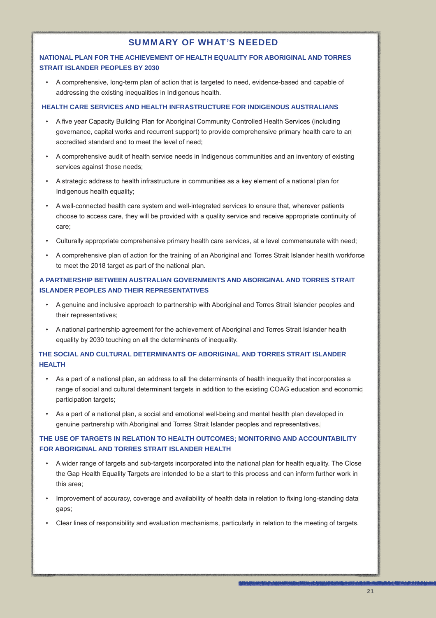#### SUMMARY OF WHAT'S NEEDED

#### **NATIONAL PLAN FOR THE ACHIEVEMENT OF HEALTH EQUALITY FOR ABORIGINAL AND TORRES STRAIT ISLANDER PEOPLES BY 2030**

• A comprehensive, long-term plan of action that is targeted to need, evidence-based and capable of addressing the existing inequalities in Indigenous health.

#### **HEALTH CARE SERVICES AND HEALTH INFRASTRUCTURE FOR INDIGENOUS AUSTRALIANS**

- A five year Capacity Building Plan for Aboriginal Community Controlled Health Services (including governance, capital works and recurrent support) to provide comprehensive primary health care to an accredited standard and to meet the level of need;
- A comprehensive audit of health service needs in Indigenous communities and an inventory of existing services against those needs:
- A strategic address to health infrastructure in communities as a key element of a national plan for Indigenous health equality;
- A well-connected health care system and well-integrated services to ensure that, wherever patients choose to access care, they will be provided with a quality service and receive appropriate continuity of care;
- Culturally appropriate comprehensive primary health care services, at a level commensurate with need;
- A comprehensive plan of action for the training of an Aboriginal and Torres Strait Islander health workforce to meet the 2018 target as part of the national plan.

#### **A PARTNERSHIP BETWEEN AUSTRALIAN GOVERNMENTS AND ABORIGINAL AND TORRES STRAIT ISLANDER PEOPLES AND THEIR REPRESENTATIVES**

- A genuine and inclusive approach to partnership with Aboriginal and Torres Strait Islander peoples and their representatives;
- A national partnership agreement for the achievement of Aboriginal and Torres Strait Islander health equality by 2030 touching on all the determinants of inequality.

#### **THE SOCIAL AND CULTURAL DETERMINANTS OF ABORIGINAL AND TORRES STRAIT ISLANDER HEALTH**

- As a part of a national plan, an address to all the determinants of health inequality that incorporates a range of social and cultural determinant targets in addition to the existing COAG education and economic participation targets;
- As a part of a national plan, a social and emotional well-being and mental health plan developed in genuine partnership with Aboriginal and Torres Strait Islander peoples and representatives.

#### **THE USE OF TARGETS IN RELATION TO HEALTH OUTCOMES; MONITORING AND ACCOUNTABILITY FOR ABORIGINAL AND TORRES STRAIT ISLANDER HEALTH**

- A wider range of targets and sub-targets incorporated into the national plan for health equality. The Close the Gap Health Equality Targets are intended to be a start to this process and can inform further work in this area;
- Improvement of accuracy, coverage and availability of health data in relation to fixing long-standing data gaps;
- Clear lines of responsibility and evaluation mechanisms, particularly in relation to the meeting of targets.

a haya ta baba a mashi na gaba a sa ay sa da batay farma a ma gaban sa tin a gaban sa canan sa cin sa masa ta ta gana canan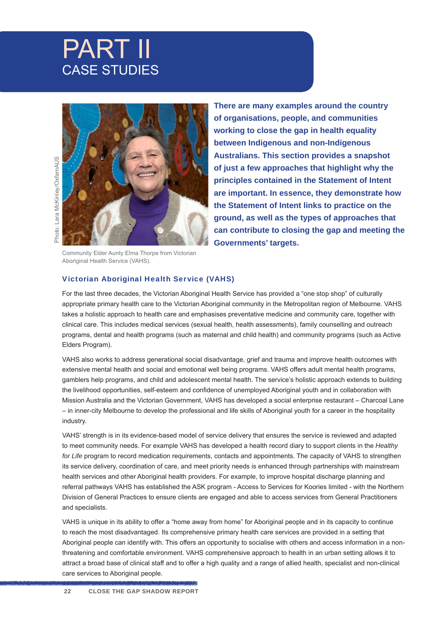## PART II CASE STUDIES



**There are many examples around the country of organisations, people, and communities working to close the gap in health equality between Indigenous and non-Indigenous Australians. This section provides a snapshot of just a few approaches that highlight why the principles contained in the Statement of Intent are important. In essence, they demonstrate how the Statement of Intent links to practice on the ground, as well as the types of approaches that can contribute to closing the gap and meeting the Governments' targets.**

Community Elder Aunty Elma Thorpe from Victorian Aboriginal Health Service (VAHS).

#### Victorian Aboriginal Health Service (VAHS)

For the last three decades, the Victorian Aboriginal Health Service has provided a "one stop shop" of culturally appropriate primary health care to the Victorian Aboriginal community in the Metropolitan region of Melbourne. VAHS takes a holistic approach to health care and emphasises preventative medicine and community care, together with clinical care. This includes medical services (sexual health, health assessments), family counselling and outreach programs, dental and health programs (such as maternal and child health) and community programs (such as Active Elders Program).

VAHS also works to address generational social disadvantage, grief and trauma and improve health outcomes with extensive mental health and social and emotional well being programs. VAHS offers adult mental health programs, gamblers help programs, and child and adolescent mental health. The service's holistic approach extends to building the livelihood opportunities, self-esteem and confidence of unemployed Aboriginal youth and in collaboration with Mission Australia and the Victorian Government, VAHS has developed a social enterprise restaurant – Charcoal Lane – in inner-city Melbourne to develop the professional and life skills of Aboriginal youth for a career in the hospitality industry.

VAHS' strength is in its evidence-based model of service delivery that ensures the service is reviewed and adapted to meet community needs. For example VAHS has developed a health record diary to support clients in the *Healthy for Life* program to record medication requirements, contacts and appointments. The capacity of VAHS to strengthen its service delivery, coordination of care, and meet priority needs is enhanced through partnerships with mainstream health services and other Aboriginal health providers. For example, to improve hospital discharge planning and referral pathways VAHS has established the ASK program - Access to Services for Koories limited - with the Northern Division of General Practices to ensure clients are engaged and able to access services from General Practitioners and specialists.

VAHS is unique in its ability to offer a "home away from home" for Aboriginal people and in its capacity to continue to reach the most disadvantaged. Its comprehensive primary health care services are provided in a setting that Aboriginal people can identify with. This offers an opportunity to socialise with others and access information in a nonthreatening and comfortable environment. VAHS comprehensive approach to health in an urban setting allows it to attract a broad base of clinical staff and to offer a high quality and a range of allied health, specialist and non-clinical care services to Aboriginal people.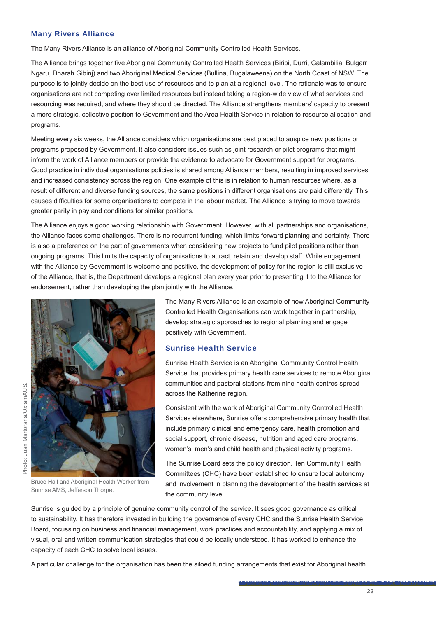#### Many Rivers Alliance

The Many Rivers Alliance is an alliance of Aboriginal Community Controlled Health Services.

The Alliance brings together five Aboriginal Community Controlled Health Services (Biripi, Durri, Galambilia, Bulgarr Ngaru, Dharah Gibinj) and two Aboriginal Medical Services (Bullina, Bugalaweena) on the North Coast of NSW. The purpose is to jointly decide on the best use of resources and to plan at a regional level. The rationale was to ensure organisations are not competing over limited resources but instead taking a region-wide view of what services and resourcing was required, and where they should be directed. The Alliance strengthens members' capacity to present a more strategic, collective position to Government and the Area Health Service in relation to resource allocation and programs.

Meeting every six weeks, the Alliance considers which organisations are best placed to auspice new positions or programs proposed by Government. It also considers issues such as joint research or pilot programs that might inform the work of Alliance members or provide the evidence to advocate for Government support for programs. Good practice in individual organisations policies is shared among Alliance members, resulting in improved services and increased consistency across the region. One example of this is in relation to human resources where, as a result of different and diverse funding sources, the same positions in different organisations are paid differently. This causes difficulties for some organisations to compete in the labour market. The Alliance is trying to move towards greater parity in pay and conditions for similar positions.

The Alliance enjoys a good working relationship with Government. However, with all partnerships and organisations, the Alliance faces some challenges. There is no recurrent funding, which limits forward planning and certainty. There is also a preference on the part of governments when considering new projects to fund pilot positions rather than ongoing programs. This limits the capacity of organisations to attract, retain and develop staff. While engagement with the Alliance by Government is welcome and positive, the development of policy for the region is still exclusive of the Alliance, that is, the Department develops a regional plan every year prior to presenting it to the Alliance for endorsement, rather than developing the plan jointly with the Alliance.



Bruce Hall and Aboriginal Health Worker from Sunrise AMS, Jefferson Thorpe.

The Many Rivers Alliance is an example of how Aboriginal Community Controlled Health Organisations can work together in partnership, develop strategic approaches to regional planning and engage positively with Government.

#### Sunrise Health Service

Sunrise Health Service is an Aboriginal Community Control Health Service that provides primary health care services to remote Aboriginal communities and pastoral stations from nine health centres spread across the Katherine region.

Consistent with the work of Aboriginal Community Controlled Health Services elsewhere, Sunrise offers comprehensive primary health that include primary clinical and emergency care, health promotion and social support, chronic disease, nutrition and aged care programs, women's, men's and child health and physical activity programs.

The Sunrise Board sets the policy direction. Ten Community Health Committees (CHC) have been established to ensure local autonomy and involvement in planning the development of the health services at the community level.

Sunrise is guided by a principle of genuine community control of the service. It sees good governance as critical to sustainability. It has therefore invested in building the governance of every CHC and the Sunrise Health Service Board, focussing on business and financial management, work practices and accountability, and applying a mix of visual, oral and written communication strategies that could be locally understood. It has worked to enhance the capacity of each CHC to solve local issues.

A particular challenge for the organisation has been the siloed funding arrangements that exist for Aboriginal health.

e de transforma de la producción de completa de la consecución de la completa de la decembra de la consecución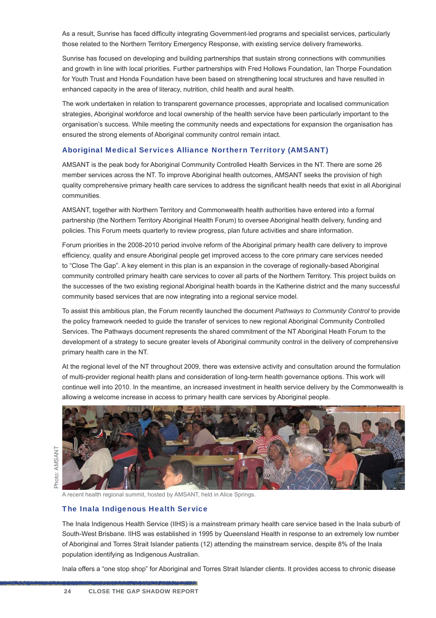As a result, Sunrise has faced difficulty integrating Government-led programs and specialist services, particularly those related to the Northern Territory Emergency Response, with existing service delivery frameworks.

Sunrise has focused on developing and building partnerships that sustain strong connections with communities and growth in line with local priorities. Further partnerships with Fred Hollows Foundation, Ian Thorpe Foundation for Youth Trust and Honda Foundation have been based on strengthening local structures and have resulted in enhanced capacity in the area of literacy, nutrition, child health and aural health.

The work undertaken in relation to transparent governance processes, appropriate and localised communication strategies, Aboriginal workforce and local ownership of the health service have been particularly important to the organisation's success. While meeting the community needs and expectations for expansion the organisation has ensured the strong elements of Aboriginal community control remain intact.

#### Aboriginal Medical Services Alliance Northern Territory (AMSANT)

AMSANT is the peak body for Aboriginal Community Controlled Health Services in the NT. There are some 26 member services across the NT. To improve Aboriginal health outcomes, AMSANT seeks the provision of high quality comprehensive primary health care services to address the significant health needs that exist in all Aboriginal communities.

AMSANT, together with Northern Territory and Commonwealth health authorities have entered into a formal partnership (the Northern Territory Aboriginal Health Forum) to oversee Aboriginal health delivery, funding and policies. This Forum meets quarterly to review progress, plan future activities and share information.

Forum priorities in the 2008-2010 period involve reform of the Aboriginal primary health care delivery to improve efficiency, quality and ensure Aboriginal people get improved access to the core primary care services needed to "Close The Gap". A key element in this plan is an expansion in the coverage of regionally-based Aboriginal community controlled primary health care services to cover all parts of the Northern Territory. This project builds on the successes of the two existing regional Aboriginal health boards in the Katherine district and the many successful community based services that are now integrating into a regional service model.

To assist this ambitious plan, the Forum recently launched the document *Pathways to Community Control* to provide the policy framework needed to guide the transfer of services to new regional Aboriginal Community Controlled Services. The Pathways document represents the shared commitment of the NT Aboriginal Heath Forum to the development of a strategy to secure greater levels of Aboriginal community control in the delivery of comprehensive primary health care in the NT.

At the regional level of the NT throughout 2009, there was extensive activity and consultation around the formulation of multi-provider regional health plans and consideration of long-term health governance options. This work will continue well into 2010. In the meantime, an increased investment in health service delivery by the Commonwealth is allowing a welcome increase in access to primary health care services by Aboriginal people.

A recent health regional summit, hosted by AMSANT<br>
The Inala Indigenous Health Service<br>
The Inala Indigenous Health Service (IIHS) is a<br>
South-West Brisbane. IIHS was established in<br>
of Aboriginal and Torres Strait Islande

A recent health regional summit, hosted by AMSANT, held in Alice Springs.

#### The Inala Indigenous Health Service

The Inala Indigenous Health Service (IIHS) is a mainstream primary health care service based in the Inala suburb of South-West Brisbane. IIHS was established in 1995 by Queensland Health in response to an extremely low number of Aboriginal and Torres Strait Islander patients (12) attending the mainstream service, despite 8% of the Inala population identifying as Indigenous Australian.

Inala offers a "one stop shop" for Aboriginal and Torres Strait Islander clients. It provides access to chronic disease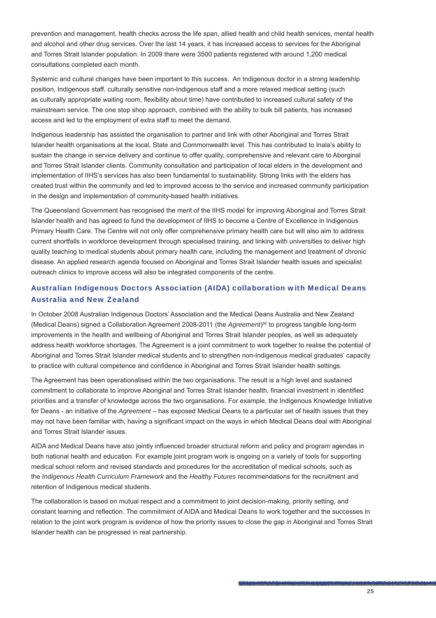prevention and management, health checks across the life span, allied health and child health services, mental health and alcohol and other drug services. Over the last 14 years, it has increased access to services for the Aboriginal and Torres Strait Islander population. In 2009 there were 3500 patients registered with around 1,200 medical consultations completed each month.

Systemic and cultural changes have been important to this success. An Indigenous doctor in a strong leadership position, Indigenous staff, culturally sensitive non-Indigenous staff and a more relaxed medical setting (such as culturally appropriate waiting room, flexibility about time) have contributed to increased cultural safety of the mainstream service. The one stop shop approach, combined with the ability to bulk bill patients, has increased access and led to the employment of extra staff to meet the demand.

Indigenous leadership has assisted the organisation to partner and link with other Aboriginal and Torres Strait Islander health organisations at the local, State and Commonwealth level. This has contributed to Inala's ability to sustain the change in service delivery and continue to offer quality, comprehensive and relevant care to Aborginal and Torres Strait Islander clients. Community consultation and participation of local elders in the development and implementation of IIHS's services has also been fundamental to sustainability. Strong links with the elders has created trust within the community and led to improved access to the service and increased community participation in the design and implementation of community-based health initiatives.

The Queensland Government has recognised the merit of the IIHS model for improving Aboriginal and Torres Strait Islander health and has agreed to fund the development of IIHS to become a Centre of Excellence in Indigenous Primary Health Care. The Centre will not only offer comprehensive primary health care but will also aim to address current shortfalls in workforce development through specialised training, and linking with universities to deliver high quality teaching to medical students about primary health care, including the management and treatment of chronic disease. An applied research agenda focused on Aboriginal and Torres Strait Islander health issues and specialist outreach clinics to improve access will also be integrated components of the centre.

#### Australian Indigenous Doctors Association (AIDA) collaboration with Medical Deans Australia and New Zealand

In October 2008 Australian Indigenous Doctors' Association and the Medical Deans Australia and New Zealand (Medical Deans) signed a Collaboration Agreement 2008-2011 (the *Agreement*) 56 to progress tangible long-term improvements in the health and wellbeing of Aboriginal and Torres Strait Islander peoples, as well as adequately address health workforce shortages. The Agreement is a joint commitment to work together to realise the potential of Aboriginal and Torres Strait Islander medical students and to strengthen non-Indigenous medical graduates' capacity to practice with cultural competence and confidence in Aboriginal and Torres Strait Islander health settings.

The Agreement has been operationalised within the two organisations. The result is a high level and sustained commitment to collaborate to improve Aboriginal and Torres Strait Islander health, financial investment in identified priorities and a transfer of knowledge across the two organisations. For example, the Indigenous Knowledge Initiative for Deans - an initiative of the *Agreement* – has exposed Medical Deans to a particular set of health issues that they may not have been familiar with, having a significant impact on the ways in which Medical Deans deal with Aboriginal and Torres Strait Islander issues.

AIDA and Medical Deans have also jointly influenced broader structural reform and policy and program agendas in both national health and education. For example joint program work is ongoing on a variety of tools for supporting medical school reform and revised standards and procedures for the accreditation of medical schools, such as the *Indigenous Health Curriculum Framework* and the *Healthy Futures* recommendations for the recruitment and retention of Indigenous medical students.

The collaboration is based on mutual respect and a commitment to joint decision-making, priority setting, and constant learning and reflection. The commitment of AIDA and Medical Deans to work together and the successes in relation to the joint work program is evidence of how the priority issues to close the gap in Aboriginal and Torres Strait Islander health can be progressed in real partnership.

a hay for the finite of the construction of the planned and programmed in the construction of the complete of the construction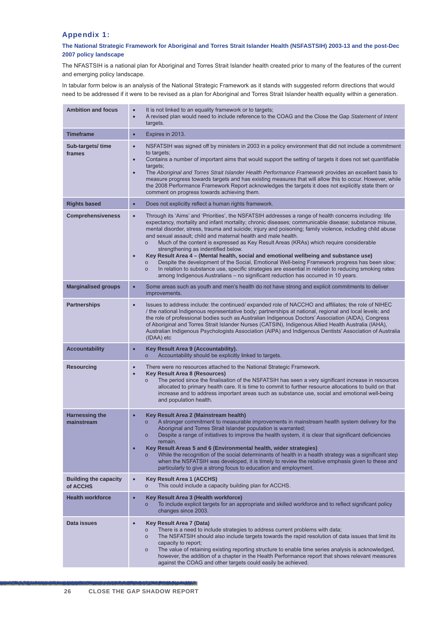#### Appendix 1:

#### **The National Strategic Framework for Aboriginal and Torres Strait Islander Health (NSFASTSIH) 2003-13 and the post-Dec 2007 policy landscape**

The NFASTSIH is a national plan for Aboriginal and Torres Strait Islander health created prior to many of the features of the current and emerging policy landscape.

In tabular form below is an analysis of the National Strategic Framework as it stands with suggested reform directions that would need to be addressed if it were to be revised as a plan for Aboriginal and Torres Strait Islander health equality within a generation.

| <b>Ambition and focus</b>                | It is not linked to an equality framework or to targets;<br>$\bullet$<br>A revised plan would need to include reference to the COAG and the Close the Gap Statement of Intent<br>$\bullet$<br>targets.                                                                                                                                                                                                                                                                                                                                                                                                                                                                                                                                                                                                                                                                                                                                                                |
|------------------------------------------|-----------------------------------------------------------------------------------------------------------------------------------------------------------------------------------------------------------------------------------------------------------------------------------------------------------------------------------------------------------------------------------------------------------------------------------------------------------------------------------------------------------------------------------------------------------------------------------------------------------------------------------------------------------------------------------------------------------------------------------------------------------------------------------------------------------------------------------------------------------------------------------------------------------------------------------------------------------------------|
| <b>Timeframe</b>                         | Expires in 2013.<br>$\bullet$                                                                                                                                                                                                                                                                                                                                                                                                                                                                                                                                                                                                                                                                                                                                                                                                                                                                                                                                         |
| Sub-targets/ time<br>frames              | NSFATSIH was signed off by ministers in 2003 in a policy environment that did not include a commitment<br>$\bullet$<br>to targets;<br>Contains a number of important aims that would support the setting of targets it does not set quantifiable<br>$\bullet$<br>targets;<br>The Aboriginal and Torres Strait Islander Health Performance Framework provides an excellent basis to<br>$\bullet$<br>measure progress towards targets and has existing measures that will allow this to occur. However, while<br>the 2008 Performance Framework Report acknowledges the targets it does not explicitly state them or<br>comment on progress towards achieving them.                                                                                                                                                                                                                                                                                                     |
| <b>Rights based</b>                      | Does not explicitly reflect a human rights framework.<br>$\bullet$                                                                                                                                                                                                                                                                                                                                                                                                                                                                                                                                                                                                                                                                                                                                                                                                                                                                                                    |
| <b>Comprehensiveness</b>                 | Through its 'Aims' and 'Priorities', the NSFATSIH addresses a range of health concerns including: life<br>$\bullet$<br>expectancy, mortality and infant mortality; chronic diseases; communicable disease; substance misuse,<br>mental disorder, stress, trauma and suicide; injury and poisoning; family violence, including child abuse<br>and sexual assault; child and maternal health and male health.<br>Much of the content is expressed as Key Result Areas (KRAs) which require considerable<br>$\circ$<br>strengthening as indentified below.<br>Key Result Area 4 - (Mental health, social and emotional wellbeing and substance use)<br>Despite the development of the Social, Emotional Well-being Framework progress has been slow;<br>$\circ$<br>In relation to substance use, specific strategies are essential in relation to reducing smoking rates<br>$\circ$<br>among Indigenous Australians - no significant reduction has occurred in 10 years. |
| <b>Marginalised groups</b>               | Some areas such as youth and men's health do not have strong and explicit commitments to deliver<br>$\bullet$<br>improvements.                                                                                                                                                                                                                                                                                                                                                                                                                                                                                                                                                                                                                                                                                                                                                                                                                                        |
| <b>Partnerships</b>                      | Issues to address include: the continued/ expanded role of NACCHO and affiliates; the role of NIHEC<br>$\bullet$<br>/ the national Indigenous representative body; partnerships at national, regional and local levels; and<br>the role of professional bodies such as Australian Indigenous Doctors' Association (AIDA), Congress<br>of Aboriginal and Torres Strait Islander Nurses (CATSIN), Indigenous Allied Health Australia (IAHA),<br>Australian Indigenous Psychologists Association (AIPA) and Indigenous Dentists' Association of Australia<br>(IDAA) etc                                                                                                                                                                                                                                                                                                                                                                                                  |
| <b>Accountability</b>                    | Key Result Area 9 (Accountability).<br>$\bullet$<br>Accountability should be explicitly linked to targets.                                                                                                                                                                                                                                                                                                                                                                                                                                                                                                                                                                                                                                                                                                                                                                                                                                                            |
| <b>Resourcing</b>                        | There were no resources attached to the National Strategic Framework.<br>$\bullet$<br><b>Key Result Area 8 (Resources)</b><br>$\bullet$<br>The period since the finalisation of the NSFATSIH has seen a very significant increase in resources<br>$\circ$<br>allocated to primary health care. It is time to commit to further resource allocations to build on that<br>increase and to address important areas such as substance use, social and emotional well-being<br>and population health.                                                                                                                                                                                                                                                                                                                                                                                                                                                                      |
| <b>Harnessing the</b><br>mainstream      | Key Result Area 2 (Mainstream health)<br>$\bullet$<br>A stronger commitment to measurable improvements in mainstream health system delivery for the<br>$\circ$<br>Aboriginal and Torres Strait Islander population is warranted;<br>Despite a range of initiatives to improve the health system, it is clear that significant deficiencies<br>remain.<br>Key Result Areas 5 and 6 (Environmental health, wider strategies)<br>$\bullet$<br>While the recognition of the social determinants of health in a health strategy was a significant step<br>$\circ$<br>when the NSFATSIH was developed, it is timely to review the relative emphasis given to these and<br>particularly to give a strong focus to education and employment.                                                                                                                                                                                                                                  |
| <b>Building the capacity</b><br>of ACCHS | <b>Key Result Area 1 (ACCHS)</b><br>$\bullet$<br>This could include a capacity building plan for ACCHS.<br>$\circ$                                                                                                                                                                                                                                                                                                                                                                                                                                                                                                                                                                                                                                                                                                                                                                                                                                                    |
| <b>Health workforce</b>                  | Key Result Area 3 (Health workforce)<br>$\bullet$<br>To include explicit targets for an appropriate and skilled workforce and to reflect significant policy<br>$\circ$<br>changes since 2003.                                                                                                                                                                                                                                                                                                                                                                                                                                                                                                                                                                                                                                                                                                                                                                         |
| Data issues                              | Key Result Area 7 (Data)<br>$\bullet$<br>There is a need to include strategies to address current problems with data;<br>$\circ$<br>The NSFATSIH should also include targets towards the rapid resolution of data issues that limit its<br>$\circ$<br>capacity to report;<br>The value of retaining existing reporting structure to enable time series analysis is acknowledged,<br>$\circ$<br>however, the addition of a chapter in the Health Performance report that shows relevant measures<br>against the COAG and other targets could easily be achieved.                                                                                                                                                                                                                                                                                                                                                                                                       |

<u> Distribution in Frankling and the Bandary and the California delegation of the California de California de Ban</u>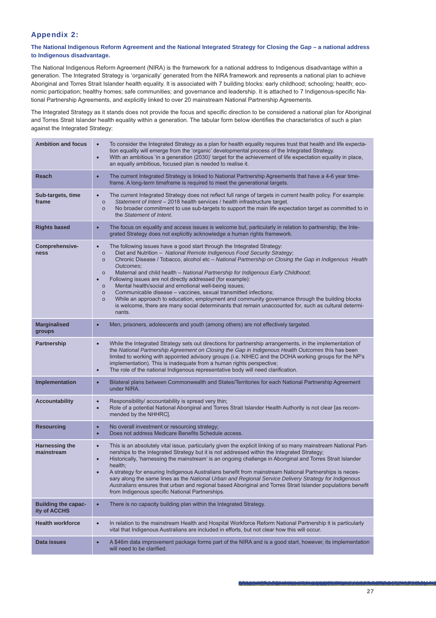#### Appendix 2:

#### **The National Indigenous Reform Agreement and the National Integrated Strategy for Closing the Gap – a national address to Indigenous disadvantage.**

The National Indigenous Reform Agreement (NIRA) is the framework for a national address to Indigenous disadvantage within a generation. The Integrated Strategy is 'organically' generated from the NIRA framework and represents a national plan to achieve Aboriginal and Torres Strait Islander health equality. It is associated with 7 building blocks: early childhood; schooling; health; economic participation; healthy homes; safe communities; and governance and leadership. It is attached to 7 Indigenous-specific National Partnership Agreements, and explicitly linked to over 20 mainstream National Partnership Agreements.

The Integrated Strategy as it stands does not provide the focus and specific direction to be considered a national plan for Aboriginal and Torres Strait Islander health equality within a generation. The tabular form below identifies the characteristics of such a plan against the Integrated Strategy:

| <b>Ambition and focus</b>                  | To consider the Integrated Strategy as a plan for health equality requires trust that health and life expecta-<br>$\bullet$<br>tion equality will emerge from the 'organic' developmental process of the Integrated Strategy.<br>With an ambitious 'in a generation (2030)' target for the achievement of life expectation equality in place,<br>$\bullet$<br>an equally ambitious, focused plan is needed to realise it.                                                                                                                                                                                                                                                                                                                                                                                                                                                |
|--------------------------------------------|--------------------------------------------------------------------------------------------------------------------------------------------------------------------------------------------------------------------------------------------------------------------------------------------------------------------------------------------------------------------------------------------------------------------------------------------------------------------------------------------------------------------------------------------------------------------------------------------------------------------------------------------------------------------------------------------------------------------------------------------------------------------------------------------------------------------------------------------------------------------------|
| Reach                                      | The current Integrated Strategy is linked to National Partnership Agreements that have a 4-6 year time-<br>$\bullet$<br>frame. A long-term timeframe is required to meet the generational targets.                                                                                                                                                                                                                                                                                                                                                                                                                                                                                                                                                                                                                                                                       |
| Sub-targets, time<br>frame                 | The current Integrated Strategy does not reflect full range of targets in current health policy. For example:<br>$\bullet$<br>Statement of Intent - 2018 health services / health infrastructure target.<br>$\circ$<br>No broader commitment to use sub-targets to support the main life expectation target as committed to in<br>$\circ$<br>the Statement of Intent.                                                                                                                                                                                                                                                                                                                                                                                                                                                                                                    |
| <b>Rights based</b>                        | The focus on equality and access issues is welcome but, particularly in relation to partnership, the Inte-<br>$\bullet$<br>grated Strategy does not explicitly acknowledge a human rights framework.                                                                                                                                                                                                                                                                                                                                                                                                                                                                                                                                                                                                                                                                     |
| Comprehensive-<br>ness                     | The following issues have a good start through the Integrated Strategy:<br>$\bullet$<br>Diet and Nutrition - National Remote Indigenous Food Security Strategy;<br>$\circ$<br>Chronic Disease / Tobacco, alcohol etc - National Partnership on Closing the Gap in Indigenous Health<br>$\circ$<br>Outcomes;<br>Maternal and child health - National Partnership for Indigenous Early Childhood;<br>$\circ$<br>Following issues are not directly addressed (for example):<br>$\bullet$<br>Mental health/social and emotional well-being issues;<br>$\circ$<br>Communicable disease - vaccines, sexual transmitted infections;<br>$\circ$<br>While an approach to education, employment and community governance through the building blocks<br>$\circ$<br>is welcome, there are many social determinants that remain unaccounted for, such as cultural determi-<br>nants. |
| <b>Marginalised</b><br>groups              | Men, prisoners, adolescents and youth (among others) are not effectively targeted.<br>$\bullet$                                                                                                                                                                                                                                                                                                                                                                                                                                                                                                                                                                                                                                                                                                                                                                          |
| Partnership                                | While the Integrated Strategy sets out directions for partnership arrangements, in the implementation of<br>$\bullet$<br>the National Partnership Agreement on Closing the Gap in Indigenous Health Outcomes this has been<br>limited to working with appointed advisory groups (i.e. NIHEC and the DOHA working groups for the NP's<br>implementation). This is inadequate from a human rights perspective;<br>The role of the national Indigenous representative body will need clarification.<br>$\bullet$                                                                                                                                                                                                                                                                                                                                                            |
| Implementation                             | Bilateral plans between Commonwealth and States/Territories for each National Partnership Agreement<br>$\bullet$<br>under NIRA.                                                                                                                                                                                                                                                                                                                                                                                                                                                                                                                                                                                                                                                                                                                                          |
| <b>Accountability</b>                      | Responsibility/ accountability is spread very thin;<br>$\bullet$<br>Role of a potential National Aboriginal and Torres Strait Islander Health Authority is not clear [as recom-<br>$\bullet$<br>mended by the NHHRC].                                                                                                                                                                                                                                                                                                                                                                                                                                                                                                                                                                                                                                                    |
| <b>Resourcing</b>                          | No overall investment or resourcing strategy;<br>$\bullet$<br>Does not address Medicare Benefits Schedule access.<br>$\bullet$                                                                                                                                                                                                                                                                                                                                                                                                                                                                                                                                                                                                                                                                                                                                           |
| <b>Harnessing the</b><br>mainstream        | This is an absolutely vital issue, particularly given the explicit linking of so many mainstream National Part-<br>$\bullet$<br>nerships to the Integrated Strategy but it is not addressed within the Integrated Strategy;<br>Historically, 'harnessing the mainstream' is an ongoing challenge in Aboriginal and Torres Strait Islander<br>$\bullet$<br>health;<br>A strategy for ensuring Indigenous Australians benefit from mainstream National Partnerships is neces-<br>$\bullet$<br>sary along the same lines as the National Urban and Regional Service Delivery Strategy for Indigenous<br>Australians ensures that urban and regional based Aboriginal and Torres Strait Islander populations benefit<br>from Indigenous specific National Partnerships.                                                                                                      |
| <b>Building the capac-</b><br>ity of ACCHS | There is no capacity building plan within the Integrated Strategy.<br>$\bullet$                                                                                                                                                                                                                                                                                                                                                                                                                                                                                                                                                                                                                                                                                                                                                                                          |
| <b>Health workforce</b>                    | In relation to the mainstream Health and Hospital Workforce Reform National Partnership it is particularly<br>$\bullet$<br>vital that Indigenous Australians are included in efforts, but not clear how this will occur.                                                                                                                                                                                                                                                                                                                                                                                                                                                                                                                                                                                                                                                 |
| Data issues                                | A \$46m data improvement package forms part of the NIRA and is a good start, however, its implementation<br>$\bullet$<br>will need to be clarified.                                                                                                                                                                                                                                                                                                                                                                                                                                                                                                                                                                                                                                                                                                                      |

a hay for the finite of the construction of the planned and programmed in the construction of the complete of the construction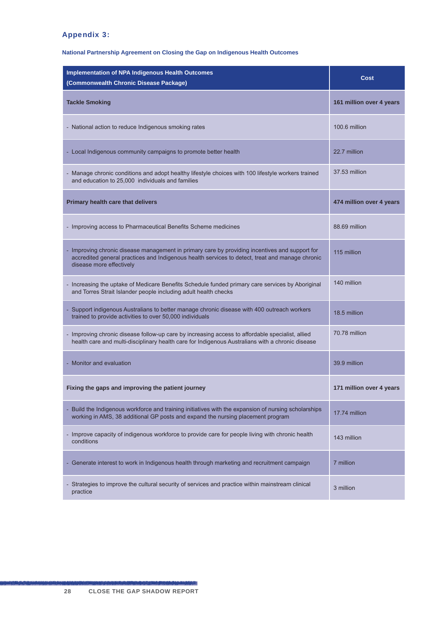#### Appendix 3:

#### **National Partnership Agreement on Closing the Gap on Indigenous Health Outcomes**

| <b>Implementation of NPA Indigenous Health Outcomes</b><br>(Commonwealth Chronic Disease Package)                                                                                                                             | Cost                     |
|-------------------------------------------------------------------------------------------------------------------------------------------------------------------------------------------------------------------------------|--------------------------|
| <b>Tackle Smoking</b>                                                                                                                                                                                                         | 161 million over 4 years |
| - National action to reduce Indigenous smoking rates                                                                                                                                                                          | 100.6 million            |
| - Local Indigenous community campaigns to promote better health                                                                                                                                                               | 22.7 million             |
| - Manage chronic conditions and adopt healthy lifestyle choices with 100 lifestyle workers trained<br>and education to 25,000 individuals and families                                                                        | 37.53 million            |
| Primary health care that delivers                                                                                                                                                                                             | 474 million over 4 years |
| - Improving access to Pharmaceutical Benefits Scheme medicines                                                                                                                                                                | 88.69 million            |
| - Improving chronic disease management in primary care by providing incentives and support for<br>accredited general practices and Indigenous health services to detect, treat and manage chronic<br>disease more effectively | 115 million              |
| - Increasing the uptake of Medicare Benefits Schedule funded primary care services by Aboriginal<br>and Torres Strait Islander people including adult health checks                                                           | 140 million              |
| - Support indigenous Australians to better manage chronic disease with 400 outreach workers<br>trained to provide activities to over 50,000 individuals                                                                       | 18.5 million             |
| - Improving chronic disease follow-up care by increasing access to affordable specialist, allied<br>health care and multi-disciplinary health care for Indigenous Australians with a chronic disease                          | 70.78 million            |
| - Monitor and evaluation                                                                                                                                                                                                      | 39.9 million             |
| Fixing the gaps and improving the patient journey                                                                                                                                                                             | 171 million over 4 years |
| - Build the Indigenous workforce and training initiatives with the expansion of nursing scholarships<br>working in AMS, 38 additional GP posts and expand the nursing placement program                                       | 17.74 million            |
| - Improve capacity of indigenous workforce to provide care for people living with chronic health<br>conditions                                                                                                                | 143 million              |
| - Generate interest to work in Indigenous health through marketing and recruitment campaign                                                                                                                                   | 7 million                |
| - Strategies to improve the cultural security of services and practice within mainstream clinical<br>practice                                                                                                                 | 3 million                |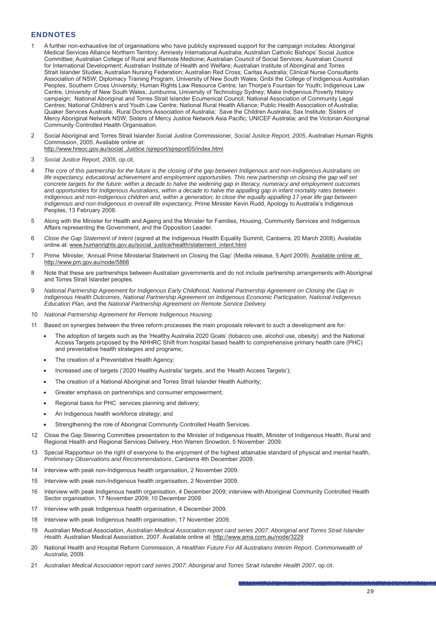#### ENDNOTES

- 1 A further non-exhaustive list of organisations who have publicly expressed support for the campaign includes: Aboriginal Medical Services Alliance Northern Territory; Amnesty International Australia; Australian Catholic Bishops' Social Justice Committee; Australian College of Rural and Remote Medicine; Australian Council of Social Services; Australian Council for International Development; Australian Institute of Health and Welfare; Australian Institute of Aboriginal and Torres Strait Islander Studies; Australian Nursing Federation; Australian Red Cross; Caritas Australia; Clinical Nurse Consultants Association of NSW; Diplomacy Training Program, University of New South Wales; Gnibi the College of Indigenous Australian Peoples, Southern Cross University; Human Rights Law Resource Centre; Ian Thorpe's Fountain for Youth; Indigenous Law Centre, University of New South Wales; Jumbunna, University of Technology Sydney; Make Indigenous Poverty History campaign; National Aboriginal and Torres Strait Islander Ecumenical Council; National Association of Community Legal Centres; National Children's and Youth Law Centre; National Rural Health Alliance; Public Health Association of Australia; Quaker Services Australia; Rural Doctors Association of Australia; Save the Children Australia; Sax Institute; Sisters of Mercy Aboriginal Network NSW; Sisters of Mercy Justice Network Asia Pacific; UNICEF Australia; and the Victorian Aboriginal Community Controlled Health Organisation.
- 2 Social Aboriginal and Torres Strait Islander Social Justice Commissioner, *Social Justice Report, 2005*, Australian Human Rights Commission, 2005. Available online at: http://www.hreoc.gov.au/social\_Justice /sjreport/sjreport05/index.html
- 3 *Social Justice Report, 2005*, op.cit.
- 4 *The core of this partnership for the future is the closing of the gap between Indigenous and non-Indigenous Australians on life expectancy, educational achievement and employment opportunities. This new partnership on closing the gap will set concrete targets for the future: within a decade to halve the widening gap in literacy, numeracy and employment outcomes*  and opportunities for Indigenous Australians, within a decade to halve the appalling gap in infant mortality rates between *Indigenous and non-Indigenous children and, within a generation, to close the equally appalling 17-year life gap between Indigenous and non-Indigenous in overall life expectancy.* Prime Minister Kevin Rudd, Apology to Australia's Indigenous Peoples, 13 February 2008.
- 5 Along with the Minister for Health and Ageing and the Minister for Families, Housing, Community Services and Indigenous Affairs representing the Government, and the Opposition Leader.
- 6 *Close the Gap Statement of Intent* (signed at the Indigenous Health Equality Summit, Canberra, 20 March 2008). Available online at: www.humanrights.gov.au/social\_justice/health/statement\_intent.html
- 7 Prime Minister, 'Annual Prime Ministerial Statement on Closing the Gap' (Media release, 5 April 2009). Available online at: http://www.pm.gov.au/node/5866
- 8 Note that these are partnerships between Australian governments and do not include partnership arrangements with Aboriginal and Torres Strait Islander peoples.
- 9 *National Partnership Agreement for Indigenous Early Childhood, National Partnership Agreement on Closing the Gap in Indigenous Health Outcomes, National Partnership Agreement on Indigenous Economic Participation, National Indigenous Education Plan*, and the *National Partnership Agreement on Remote Service Delivery.*
- 10 *National Partnership Agreement for Remote Indigenous Housing*.
- 11 Based on synergies between the three reform processes the main proposals relevant to such a development are for:
	- The adoption of targets such as the 'Healthy Australia 2020 Goals' (tobacco use, alcohol use, obesity) and the National Access Targets proposed by the NHHRC Shift from hospital based health to comprehensive primary health care (PHC) and preventative health strategies and programs;
	- The creation of a Preventative Health Agency;
	- Increased use of targets ('2020 Healthy Australia' targets, and the 'Health Access Targets');
	- The creation of a National Aboriginal and Torres Strait Islander Health Authority;
	- Greater emphasis on partnerships and consumer empowerment;
	- Regional basis for PHC services planning and delivery;
	- An Indigenous health workforce strategy; and
	- Strengthening the role of Aboriginal Community Controlled Health Services.
- 12 Close the Gap Steering Committee presentation to the Minister of Indigenous Health, Minister of Indigenous Health, Rural and Regional Health and Regional Services Delivery, Hon Warren Snowdon. 5 November 2009.
- 13 Special Rapporteur on the right of everyone to the enjoyment of the highest attainable standard of physical and mental health, *Preliminary Observations and Recommendations*, Canberra 4th December 2009.
- 14 Interview with peak non-Indigenous health organisation, 2 November 2009.
- 15 Interview with peak non-Indigenous health organisation, 2 November 2009.
- 16 Interview with peak Indigenous health organisation, 4 December 2009; interview with Aboriginal Community Controlled Health Sector organisation, 17 November 2009; 10 December 2009.
- 17 Interview with peak Indigenous health organisation, 4 December 2009.
- 18 Interview with peak Indigenous health organisation, 17 November 2009.
- 19 Australian Medical Association, *Australian Medical Association report card series 2007: Aboriginal and Torres Strait Islander Health*. Australian Medical Association, 2007. Available online at: http://www.ama.com.au/node/3229
- 20 National Health and Hospital Reform Commission, *A Healthier Future For All Australians Interim Report. Commonwealth of Australia,* 2009.
- 21 *Australian Medical Association report card series 2007: Aboriginal and Torres Strait Islander Health 2007,* op.cit.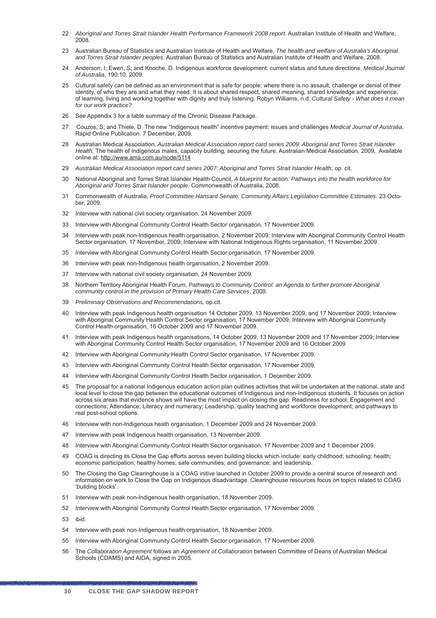- 22 *Aboriginal and Torres Strait Islander Health Performance Framework 2008 report*. Australian Institute of Health and Welfare, 2008.
- 23 Australian Bureau of Statistics and Australian Institute of Health and Welfare, *The health and welfare of Australia's Aboriginal and Torres Strait Islander peoples*. Australian Bureau of Statistics and Australian Institute of Health and Welfare, 2008.
- 24 Anderson, I; Ewen, S; and Knoche, D. Indigenous workforce development: current status and future directions. *Medical J*o*urnal of Australia*, 190:10, 2009.
- 25 Cultural safety can be defined as an environment that is safe for people: where there is no assault, challenge or denial of their identity, of who they are and what they need. It is about shared respect*,* shared meaning, shared knowledge and experience, of learning, living and working together with dignity and truly listening. Robyn Williams, n.d. *Cultural Safety - What does it mean for our work practice?*
- 26 See Appendix 3 for a table summary of the Chronic Disease Package.
- 27 Couzos, S; and Thiele, D. The new "Indigenous health" incentive payment: issues and challenges *Medical Journal of Australia*, Rapid Online Publication. 7 December, 2009.
- 28 Australian Medical Association*, Australian Medical Association report card series 2009: Aboriginal and Torres Strait Islander Health,* The health of Indigenous males, capacity building, securing the future. Australian Medical Association, 2009, Available online at: http://www.ama.com.au/node/5114
- 29 *Australian Medical Association report card series 2007: Aboriginal and Torres Strait Islander Health*, op. cit.
- 30 National Aboriginal and Torres Strait Islander Health Council, *A blueprint for action: Pathways into the health workforce for Aboriginal and Torres Strait Islander people*. Commonwealth of Australia, 2008.
- 31 Commonwealth of Australia, *Proof Committee Hansard Senate. Community Affairs Legislation Committee Estimates*. 23 October, 2009.
- 32 Interview with national civil society organisation, 24 November 2009.
- 33 Interview with Aboriginal Community Control Health Sector organisation, 17 November 2009.
- 34 Interview with peak non-Indigenous health organisation, 2 November 2009; Interview with Aboriginal Community Control Health Sector organisation, 17 November, 2009; Interview with National Indigenous Rights organisation, 11 November 2009.
- 35 Interview with Aboriginal Community Control Health Sector organisation, 17 November 2009.
- 36 Interview with peak non-Indigenous health organisation, 2 November 2009.
- 37 Interview with national civil society organisation, 24 November 2009.
- 38 Northern Territory Aboriginal Health Forum, *Pathways to Community Control: an Agenda to further promote Aboriginal community control in the provision of Primary Health Care Services*, 2009.
- 39 *Preliminary Observations and Recommendations,* op.cit.
- 40 Interview with peak Indigenous health organisation 14 October 2009, 13 November 2009, and 17 November 2009; Interview with Aboriginal Community Health Control Sector organisation, 17 November 2009; Interview with Aboriginal Community Control Health organisation, 16 October 2009 and 17 November 2009.
- 41 Interview with peak Indigenous health organisations, 14 October 2009, 13 November 2009 and 17 November 2009; Interview with Aboriginal Community Control Health Sector organisation, 17 November 2009 and 16 October 2009
- 42 Interview with Aboriginal Community Health Control Sector organisation, 17 November 2009.
- 43 Interview with Aboriginal Community Control Health Sector organisation, 17 November 2009.
- 44 Interview with Aboriginal Community Control Health Sector organisation, 1 December 2009.
- 45 The proposal for a national Indigenous education action plan outlines activities that will be undertaken at the national, state and local level to close the gap between the educational outcomes of Indigenous and non-Indigenous students. It focuses on action across six areas that evidence shows will have the most impact on closing the gap: Readiness for school; Engagement and connections; Attendance; Literacy and numeracy; Leadership, quality teaching and workforce development; and pathways to real post-school options.
- 46 Interview with non-Indigenous heath organisation, 1 December 2009 and 24 November 2009.
- 47 Interview with peak Indigenous health organisation, 13 November 2009.
- 48 Interview with Aboriginal Community Control Health Sector organisation, 17 November 2009 and 1 December 2009.
- 49 COAG is directing its Close the Gap efforts across seven building blocks which include: early childhood; schooling; health; economic participation; healthy homes; safe communities; and governance; and leadership.
- 50 The Closing the Gap Clearinghouse is a COAG initive launched in October 2009 to provide a central source of research and information on work to Close the Gap on Indigenous disadvantage. Clearinghouse resources focus on topics related to COAG 'building blocks'.
- 51 Interview with peak non-Indigenous health organisation, 18 November 2009.
- 52 Interview with Aboriginal Community Control Health Sector organisation, 17 November 2009.
- 53 ibid.
- 54 Interview with peak non-Indigenous health organisation, 18 November 2009.
- 55 Interview with Aboriginal Community Control Health Sector organisation, 17 November 2009.
- 56 The *Collaboration Agreement* follows an *Agreement of Collaboration* between Committee of Deans of Australian Medical Schools (CDAMS) and AIDA, signed in 2005.